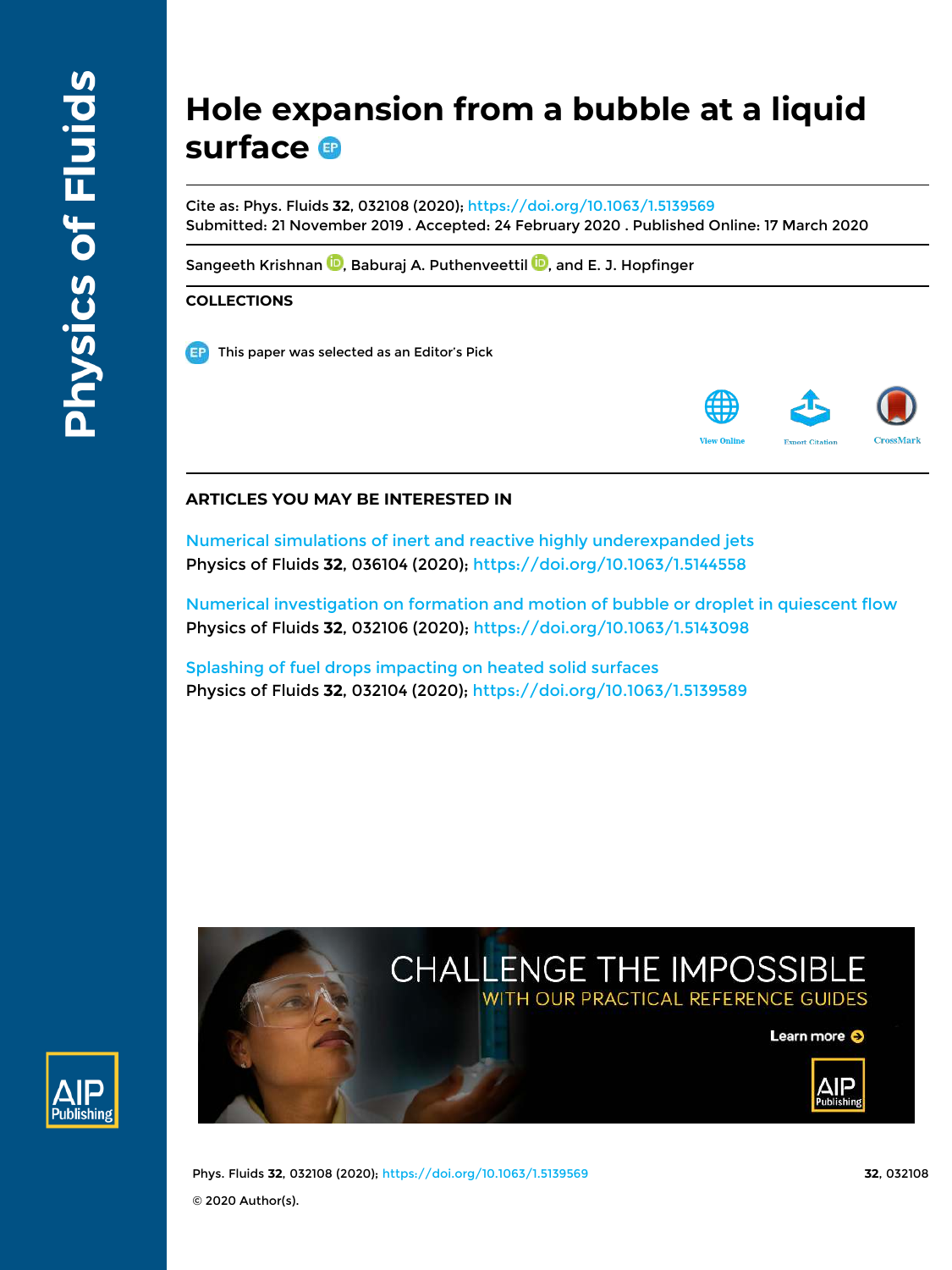# **Hole expansion from a bubble at a liquid surface**

Cite as: Phys. Fluids **32**, 032108 (2020); https://doi.org/10.1063/1.5139569 Submitted: 21 November 2019 . Accepted: 24 February 2020 . Published Online: 17 March 2020

Sangeeth Krishnan **D**, Baburaj A. Puthenveettil **D**, and E. J. Hopfinger

# **COLLECTIONS**

This paper was selected as an Editor's Pick



# **ARTICLES YOU MAY BE INTERESTED IN**

Numerical simulations of inert and reactive highly underexpanded jets Physics of Fluids **32**, 036104 (2020); https://doi.org/10.1063/1.5144558

Numerical investigation on formation and motion of bubble or droplet in quiescent flow Physics of Fluids **32**, 032106 (2020); https://doi.org/10.1063/1.5143098

Splashing of fuel drops impacting on heated solid surfaces Physics of Fluids **32**, 032104 (2020); https://doi.org/10.1063/1.5139589

# CHALLENGE THE IMPOSSIBLE WITH OUR PRACTICAL REFERENCE GUIDES







Phys. Fluids **32**, 032108 (2020); https://doi.org/10.1063/1.5139569 **32**, 032108 © 2020 Author(s).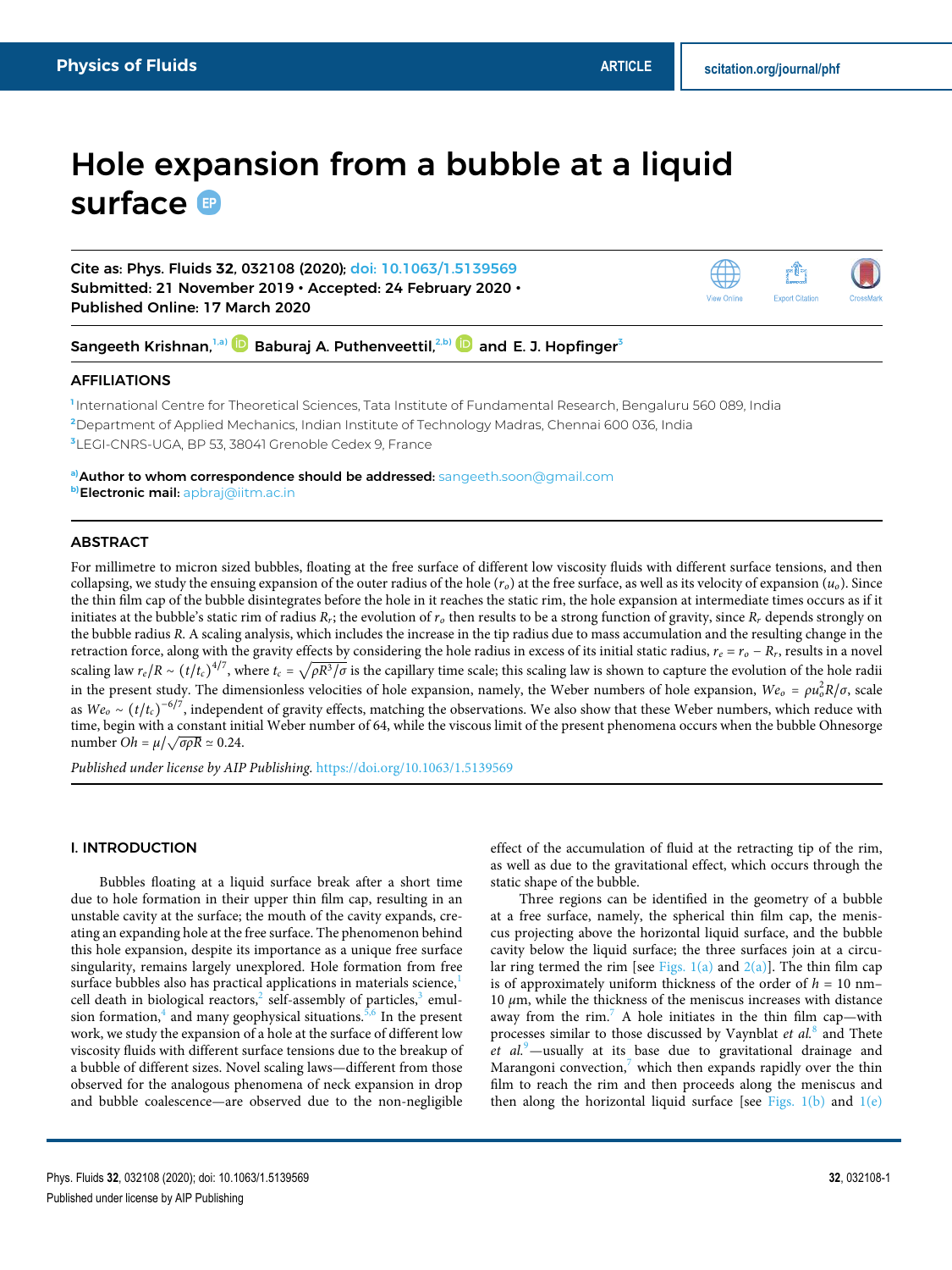# Hole expansion from a bubble at a liquid surface <sup>®</sup>

Cite as: Phys. Fluids **32**, 032108 (2020); doi: 10.1063/1.5139569 Submitted: 21 November 2019 • Accepted: 24 February 2020 • Published Online: 17 March 2020

Sangeeth Krishnan,<sup>1,a)</sup> **D** Baburaj A. Puthenveettil,<sup>2,b)</sup> and E. J. Hopfinger<sup>3</sup>

## AFFILIATIONS

**1** International Centre for Theoretical Sciences, Tata Institute of Fundamental Research, Bengaluru 560 089, India **<sup>2</sup>**Department of Applied Mechanics, Indian Institute of Technology Madras, Chennai 600 036, India **<sup>3</sup>**LEGI-CNRS-UGA, BP 53, 38041 Grenoble Cedex 9, France

**a)**Author to whom correspondence should be addressed: sangeeth.soon@gmail.com **b)**Electronic mail: apbraj@iitm.ac.in

# ABSTRACT

For millimetre to micron sized bubbles, floating at the free surface of different low viscosity fluids with different surface tensions, and then collapsing, we study the ensuing expansion of the outer radius of the hole  $(r_o)$  at the free surface, as well as its velocity of expansion  $(u_o)$ . Since the thin film cap of the bubble disintegrates before the hole in it reaches the static rim, the hole expansion at intermediate times occurs as if it initiates at the bubble's static rim of radius  $R_r$ ; the evolution of  $r_o$  then results to be a strong function of gravity, since  $R_r$  depends strongly on the bubble radius R. A scaling analysis, which includes the increase in the tip radius due to mass accumulation and the resulting change in the retraction force, along with the gravity effects by considering the hole radius in excess of its initial static radius,  $r_e = r_o - R_r$ , results in a novel scaling law  $r_e/R \sim (t/t_c)^{4/7}$ , where  $t_c = \sqrt{\rho R^3/\sigma}$  is the capillary time scale; this scaling law is shown to capture the evolution of the hole radii in the present study. The dimensionless velocities of hole expansion, namely, the Weber numbers of hole expansion,  $We_0 = \rho u_0^2 R / \sigma$ , scale as  $We<sub>o</sub> \sim (t/t<sub>c</sub>)^{-6/7}$ , independent of gravity effects, matching the observations. We also show that these Weber numbers, which reduce with time, begin with a constant initial Weber number of 64, while the viscous limit of the present phenomena occurs when the bubble Ohnesorge  $number Oh = \mu/\sqrt{\sigma \rho R} \approx 0.24.$ 

Published under license by AIP Publishing. https://doi.org/10.1063/1.5139569

# I. INTRODUCTION

Bubbles floating at a liquid surface break after a short time due to hole formation in their upper thin film cap, resulting in an unstable cavity at the surface; the mouth of the cavity expands, creating an expanding hole at the free surface. The phenomenon behind this hole expansion, despite its importance as a unique free surface singularity, remains largely unexplored. Hole formation from free surface bubbles also has practical applications in materials science,<sup>1</sup> cell death in biological reactors, $^2$  self-assembly of particles, $^3$  emulsion formation,<sup>4</sup> and many geophysical situations.<sup>5,6</sup> In the present work, we study the expansion of a hole at the surface of different low viscosity fluids with different surface tensions due to the breakup of a bubble of different sizes. Novel scaling laws—different from those observed for the analogous phenomena of neck expansion in drop and bubble coalescence—are observed due to the non-negligible

effect of the accumulation of fluid at the retracting tip of the rim, as well as due to the gravitational effect, which occurs through the static shape of the bubble.

Three regions can be identified in the geometry of a bubble at a free surface, namely, the spherical thin film cap, the meniscus projecting above the horizontal liquid surface, and the bubble cavity below the liquid surface; the three surfaces join at a circular ring termed the rim [see Figs.  $1(a)$  and  $2(a)$ ]. The thin film cap is of approximately uniform thickness of the order of  $h = 10$  nm– 10  $μ$ m, while the thickness of the meniscus increases with distance away from the rim.<sup>7</sup> A hole initiates in the thin film cap—with processes similar to those discussed by Vaynblat et  $al$ .<sup>8</sup> and Thete  $et \ al.$  -usually at its base due to gravitational drainage and Marangoni convection, $\prime$  which then expands rapidly over the thin film to reach the rim and then proceeds along the meniscus and then along the horizontal liquid surface [see Figs.  $1(b)$  and  $1(e)$ 

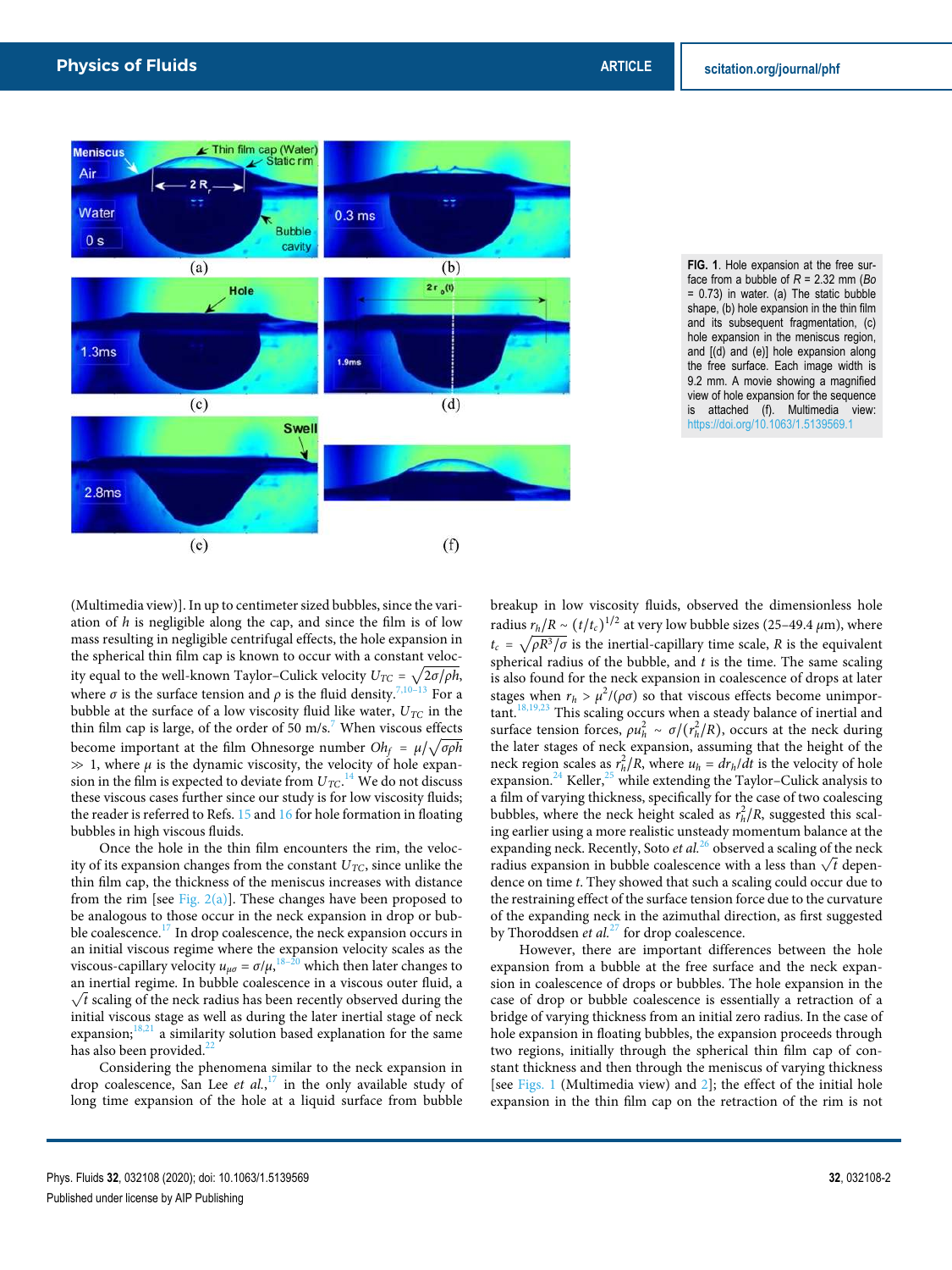



(Multimedia view)]. In up to centimeter sized bubbles, since the variation of  $h$  is negligible along the cap, and since the film is of low mass resulting in negligible centrifugal effects, the hole expansion in the spherical thin film cap is known to occur with a constant velocity equal to the well-known Taylor–Culick velocity  $U_{TC} = \sqrt{2\sigma/\rho h}$ , where  $\sigma$  is the surface tension and  $\rho$  is the fluid density.<sup>7,10–13</sup> For a bubble at the surface of a low viscosity fluid like water,  $U_{TC}$  in the thin film cap is large, of the order of 50 m/s.<sup>7</sup> When viscous effects become important at the film Ohnesorge number  $Oh_f = \mu / \sqrt{\sigma \rho h}$  $\gg 1$ , where  $\mu$  is the dynamic viscosity, the velocity of hole expansion in the film is expected to deviate from  $U_{TC}$ .<sup>14</sup> We do not discuss these viscous cases further since our study is for low viscosity fluids; the reader is referred to Refs. 15 and 16 for hole formation in floating bubbles in high viscous fluids.

Once the hole in the thin film encounters the rim, the velocity of its expansion changes from the constant  $U_{TC}$ , since unlike the thin film cap, the thickness of the meniscus increases with distance from the rim [see Fig.  $2(a)$ ]. These changes have been proposed to be analogous to those occur in the neck expansion in drop or bubble coalescence.<sup>17</sup> In drop coalescence, the neck expansion occurs in an initial viscous regime where the expansion velocity scales as the viscous-capillary velocity  $u_{\mu\sigma} = \sigma/\mu$ ,  $^{18-20}$  which then later changes to an inertial regime. In bubble coalescence in a viscous outer fluid, a  $\sqrt{t}$  scaling of the neck radius has been recently observed during the initial viscous stage as well as during the later inertial stage of neck expansion; $18,21$  a similarity solution based explanation for the same has also been provided.<sup>2</sup>

Considering the phenomena similar to the neck expansion in drop coalescence, San Lee et al., $17$  in the only available study of long time expansion of the hole at a liquid surface from bubble breakup in low viscosity fluids, observed the dimensionless hole radius  $r_h/R \sim (t/t_c)^{1/2}$  at very low bubble sizes (25–49.4  $\mu$ m), where  $t_c = \sqrt{\rho R^3/\sigma}$  is the inertial-capillary time scale, R is the equivalent spherical radius of the bubble, and  $t$  is the time. The same scaling is also found for the neck expansion in coalescence of drops at later stages when  $r_h > \mu^2/(\rho \sigma)$  so that viscous effects become unimpor $t$ ant.<sup>18,19,23</sup> This scaling occurs when a steady balance of inertial and surface tension forces,  $\rho u_h^2 \sim \sigma / (r_h^2 / R)$ , occurs at the neck during the later stages of neck expansion, assuming that the height of the neck region scales as  $r_h^2/R$ , where  $u_h = dr_h/dt$  is the velocity of hole expansion.<sup>24</sup> Keller,<sup>25</sup> while extending the Taylor–Culick analysis to a film of varying thickness, specifically for the case of two coalescing bubbles, where the neck height scaled as  $r_h^2/R$ , suggested this scaling earlier using a more realistic unsteady momentum balance at the expanding neck. Recently, Soto et  $al^{26}$  observed a scaling of the neck radius expansion in bubble coalescence with a less than  $\sqrt{t}$  dependence on time t. They showed that such a scaling could occur due to the restraining effect of the surface tension force due to the curvature of the expanding neck in the azimuthal direction, as first suggested by Thoroddsen *et al.*<sup>27</sup> for drop coalescence.

However, there are important differences between the hole expansion from a bubble at the free surface and the neck expansion in coalescence of drops or bubbles. The hole expansion in the case of drop or bubble coalescence is essentially a retraction of a bridge of varying thickness from an initial zero radius. In the case of hole expansion in floating bubbles, the expansion proceeds through two regions, initially through the spherical thin film cap of constant thickness and then through the meniscus of varying thickness [see Figs. 1 (Multimedia view) and 2]; the effect of the initial hole expansion in the thin film cap on the retraction of the rim is not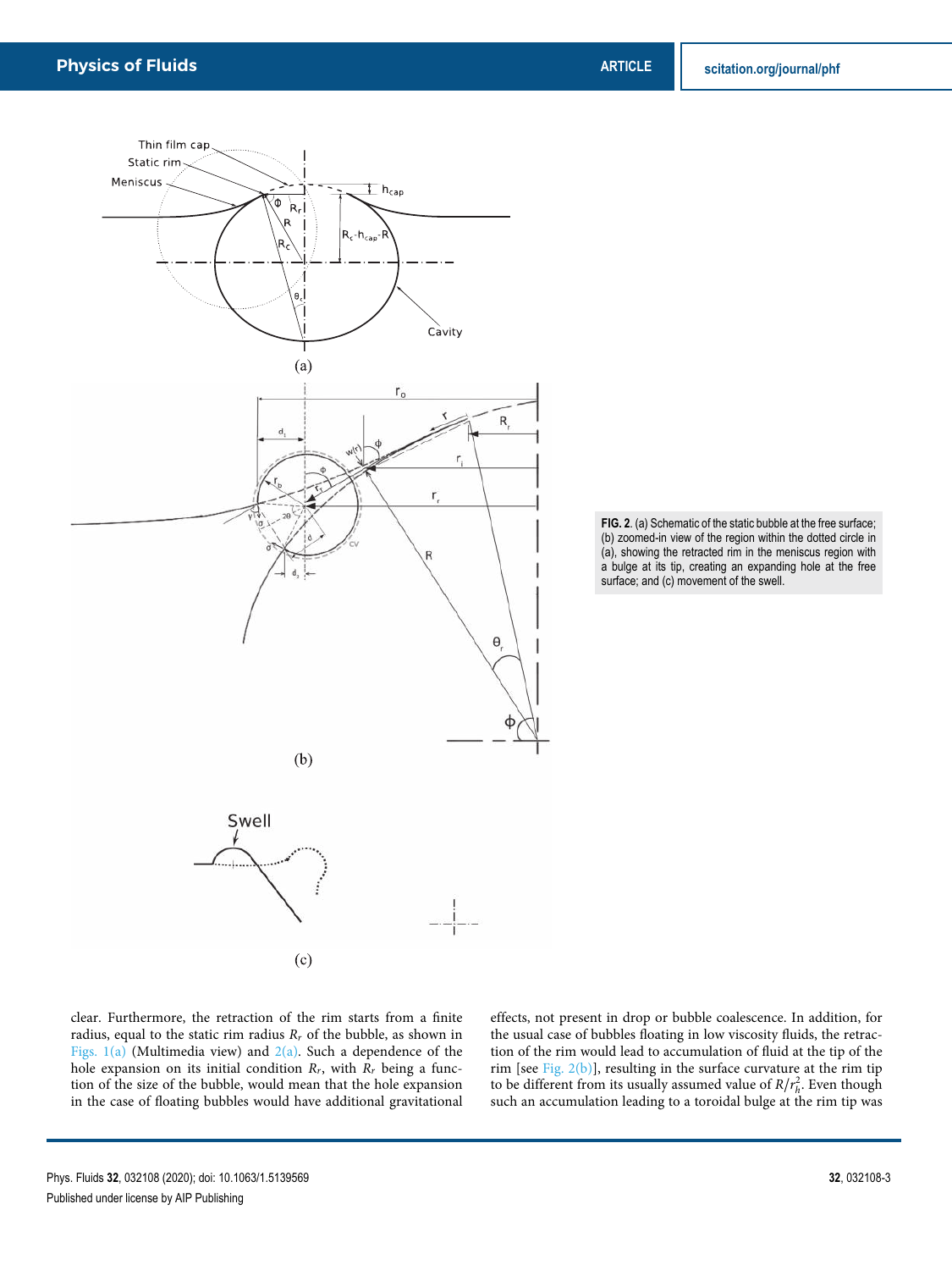



clear. Furthermore, the retraction of the rim starts from a finite radius, equal to the static rim radius  $R_r$  of the bubble, as shown in Figs.  $1(a)$  (Multimedia view) and  $2(a)$ . Such a dependence of the hole expansion on its initial condition  $R_r$ , with  $R_r$  being a function of the size of the bubble, would mean that the hole expansion in the case of floating bubbles would have additional gravitational effects, not present in drop or bubble coalescence. In addition, for the usual case of bubbles floating in low viscosity fluids, the retraction of the rim would lead to accumulation of fluid at the tip of the rim [see Fig. 2(b)], resulting in the surface curvature at the rim tip to be different from its usually assumed value of  $R/r_h^2$ . Even though such an accumulation leading to a toroidal bulge at the rim tip was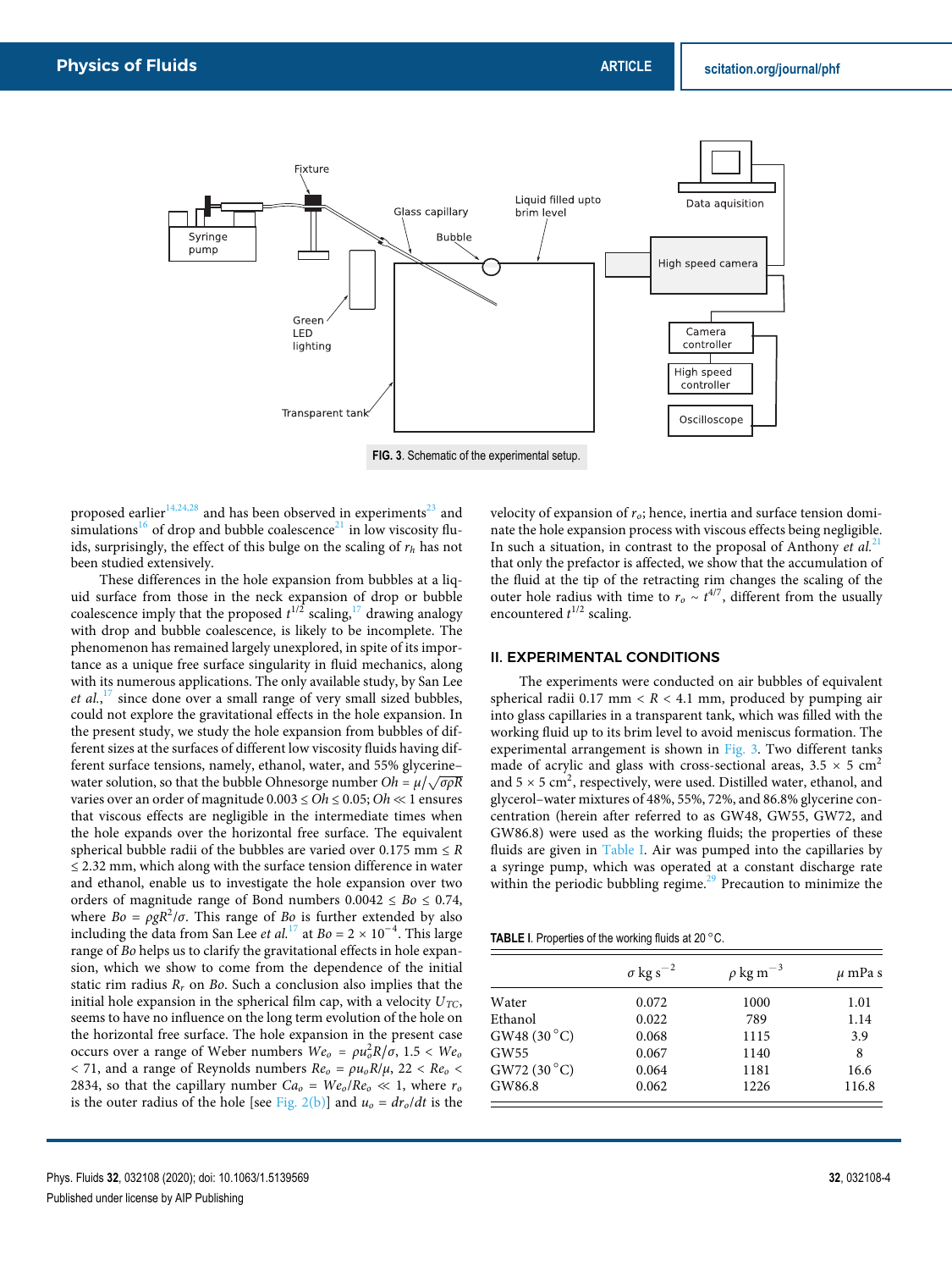

**FIG. 3**. Schematic of the experimental setup.

proposed earlier<sup>14,24,28</sup> and has been observed in experiments<sup>23</sup> and simulations<sup>16</sup> of drop and bubble coalescence<sup>21</sup> in low viscosity fluids, surprisingly, the effect of this bulge on the scaling of  $r_h$  has not been studied extensively.

These differences in the hole expansion from bubbles at a liquid surface from those in the neck expansion of drop or bubble coalescence imply that the proposed  $t^{1/2}$  scaling,  $17$  drawing analogy with drop and bubble coalescence, is likely to be incomplete. The phenomenon has remained largely unexplored, in spite of its importance as a unique free surface singularity in fluid mechanics, along with its numerous applications. The only available study, by San Lee et al., $^{17}$  since done over a small range of very small sized bubbles, could not explore the gravitational effects in the hole expansion. In the present study, we study the hole expansion from bubbles of different sizes at the surfaces of different low viscosity fluids having different surface tensions, namely, ethanol, water, and 55% glycerine– water solution, so that the bubble Ohnesorge number  $Oh = \mu / \sqrt{\sigma \rho R}$ varies over an order of magnitude  $0.003 \leq Oh \leq 0.05$ ;  $Oh \ll 1$  ensures that viscous effects are negligible in the intermediate times when the hole expands over the horizontal free surface. The equivalent spherical bubble radii of the bubbles are varied over 0.175 mm  $\leq R$  $\leq$  2.32 mm, which along with the surface tension difference in water and ethanol, enable us to investigate the hole expansion over two orders of magnitude range of Bond numbers  $0.0042 \leq Bo \leq 0.74$ , where  $Bo = \rho g R^2 / \sigma$ . This range of Bo is further extended by also including the data from San Lee *et al*.<sup>17</sup> at  $Bo = 2 \times 10^{-4}$ . This large range of Bo helps us to clarify the gravitational effects in hole expansion, which we show to come from the dependence of the initial static rim radius  $R_r$  on Bo. Such a conclusion also implies that the initial hole expansion in the spherical film cap, with a velocity  $U_{TC}$ , seems to have no influence on the long term evolution of the hole on the horizontal free surface. The hole expansion in the present case occurs over a range of Weber numbers  $We_o = \rho u_o^2 R / \sigma$ , 1.5 < We<sub>o</sub>  $<$  71, and a range of Reynolds numbers  $Re_0 = \rho u_0 R/\mu$ , 22  $<$   $Re_0$   $<$ 2834, so that the capillary number  $Ca_0 = We_0/Re_0 \ll 1$ , where  $r_0$ is the outer radius of the hole [see Fig. 2(b)] and  $u_0 = dr_0/dt$  is the velocity of expansion of  $r_o$ ; hence, inertia and surface tension dominate the hole expansion process with viscous effects being negligible. In such a situation, in contrast to the proposal of Anthony et  $al$ <sup>21</sup> that only the prefactor is affected, we show that the accumulation of the fluid at the tip of the retracting rim changes the scaling of the outer hole radius with time to  $r_o \sim t^{4/7}$ , different from the usually encountered  $t^{1/2}$  scaling.

#### II. EXPERIMENTAL CONDITIONS

The experiments were conducted on air bubbles of equivalent spherical radii 0.17 mm  $R < 4.1$  mm, produced by pumping air into glass capillaries in a transparent tank, which was filled with the working fluid up to its brim level to avoid meniscus formation. The experimental arrangement is shown in Fig. 3. Two different tanks made of acrylic and glass with cross-sectional areas,  $3.5 \times 5$  cm<sup>2</sup> and  $5 \times 5$  cm<sup>2</sup>, respectively, were used. Distilled water, ethanol, and glycerol–water mixtures of 48%, 55%, 72%, and 86.8% glycerine concentration (herein after referred to as GW48, GW55, GW72, and GW86.8) were used as the working fluids; the properties of these fluids are given in Table I. Air was pumped into the capillaries by a syringe pump, which was operated at a constant discharge rate within the periodic bubbling regime.<sup>29</sup> Precaution to minimize the

**TABLE I**. Properties of the working fluids at 20 ○C.

|                      | $\sigma$ kg s <sup>-2</sup> | $\rho$ kg m <sup>-3</sup> | $\mu$ mPa s |  |
|----------------------|-----------------------------|---------------------------|-------------|--|
| Water                | 0.072                       | 1000                      | 1.01        |  |
| Ethanol              | 0.022                       | 789                       | 1.14        |  |
| GW48 $(30^{\circ}C)$ | 0.068                       | 1115                      | 3.9         |  |
| GW55                 | 0.067                       | 1140                      | 8           |  |
| GW72 (30 °C)         | 0.064                       | 1181                      | 16.6        |  |
| GW86.8               | 0.062                       | 1226                      | 116.8       |  |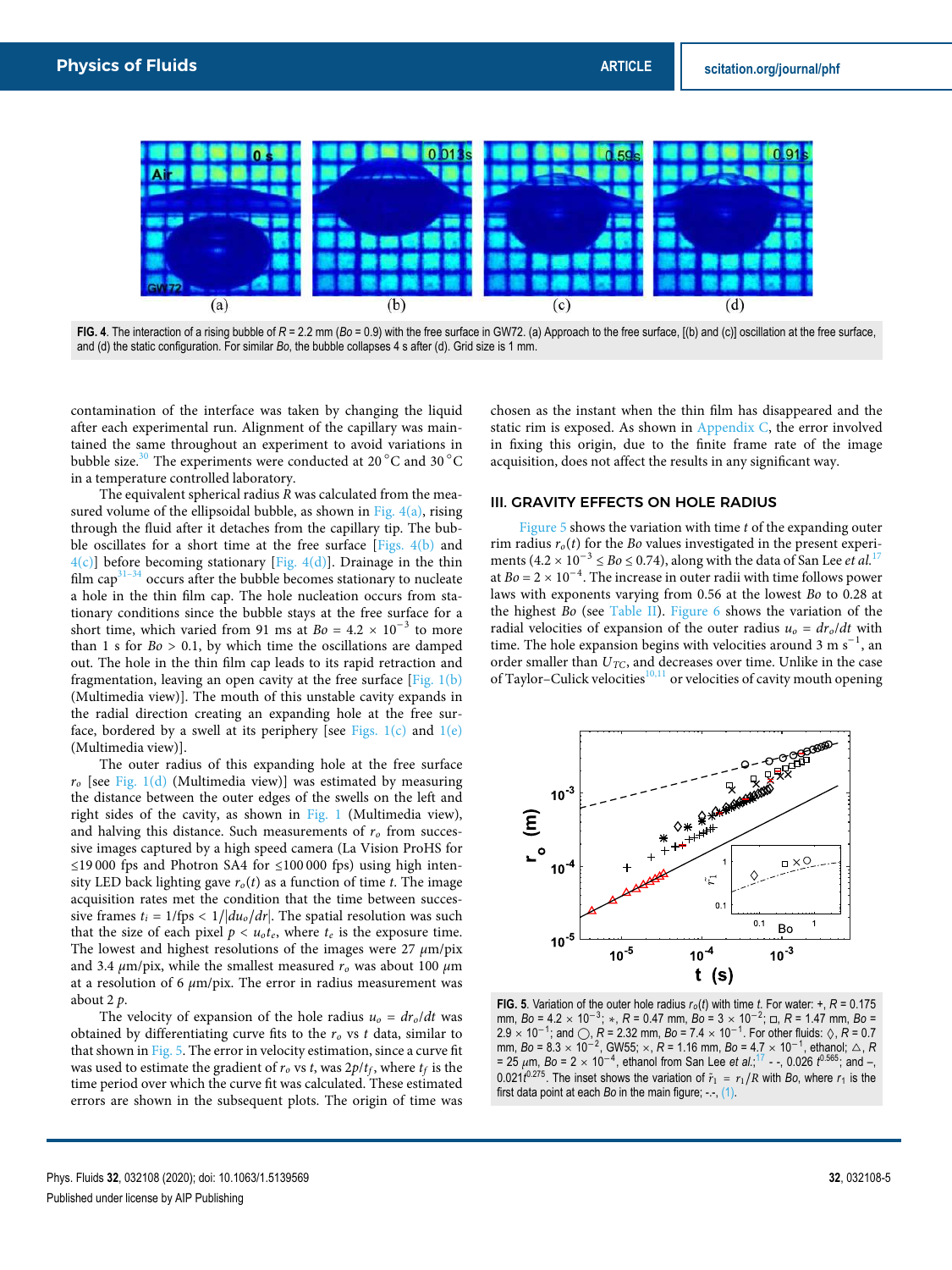

FIG. 4. The interaction of a rising bubble of  $R = 2.2$  mm ( $Bo = 0.9$ ) with the free surface in GW72. (a) Approach to the free surface, [(b) and (c)] oscillation at the free surface, and (d) the static configuration. For similar *Bo*, the bubble collapses 4 s after (d). Grid size is 1 mm.

contamination of the interface was taken by changing the liquid after each experimental run. Alignment of the capillary was maintained the same throughout an experiment to avoid variations in bubble size.<sup>30</sup> The experiments were conducted at 20 $^{\circ}$ C and 30 $^{\circ}$ C in a temperature controlled laboratory.

The equivalent spherical radius  $R$  was calculated from the measured volume of the ellipsoidal bubble, as shown in Fig.  $4(a)$ , rising through the fluid after it detaches from the capillary tip. The bubble oscillates for a short time at the free surface [Figs. 4(b) and  $4(c)$ ] before becoming stationary [Fig. 4(d)]. Drainage in the thin film  $\text{cap}^{31-34}$  occurs after the bubble becomes stationary to nucleate a hole in the thin film cap. The hole nucleation occurs from stationary conditions since the bubble stays at the free surface for a short time, which varied from 91 ms at  $Bo = 4.2 \times 10^{-3}$  to more than 1 s for  $Bo > 0.1$ , by which time the oscillations are damped out. The hole in the thin film cap leads to its rapid retraction and fragmentation, leaving an open cavity at the free surface [Fig. 1(b) (Multimedia view)]. The mouth of this unstable cavity expands in the radial direction creating an expanding hole at the free surface, bordered by a swell at its periphery [see Figs.  $1(c)$  and  $1(e)$ (Multimedia view)].

The outer radius of this expanding hole at the free surface  $r<sub>o</sub>$  [see Fig. 1(d) (Multimedia view)] was estimated by measuring the distance between the outer edges of the swells on the left and right sides of the cavity, as shown in Fig. 1 (Multimedia view), and halving this distance. Such measurements of  $r<sub>o</sub>$  from successive images captured by a high speed camera (La Vision ProHS for ≤19 000 fps and Photron SA4 for ≤100 000 fps) using high intensity LED back lighting gave  $r<sub>o</sub>(t)$  as a function of time t. The image acquisition rates met the condition that the time between successive frames  $t_i = 1/fps < 1/|du_0/dr|$ . The spatial resolution was such that the size of each pixel  $p < u_0 t_e$ , where  $t_e$  is the exposure time. The lowest and highest resolutions of the images were 27 *μ*m/pix and 3.4  $\mu$ m/pix, while the smallest measured  $r<sub>o</sub>$  was about 100  $\mu$ m at a resolution of 6 *μ*m/pix. The error in radius measurement was about 2 p.

The velocity of expansion of the hole radius  $u_0 = dr_0/dt$  was obtained by differentiating curve fits to the  $r<sub>o</sub>$  vs t data, similar to that shown in Fig. 5. The error in velocity estimation, since a curve fit was used to estimate the gradient of  $r_o$  vs  $t$ , was 2 $p/t_f$ , where  $t_f$  is the time period over which the curve fit was calculated. These estimated errors are shown in the subsequent plots. The origin of time was chosen as the instant when the thin film has disappeared and the static rim is exposed. As shown in Appendix C, the error involved in fixing this origin, due to the finite frame rate of the image acquisition, does not affect the results in any significant way.

### III. GRAVITY EFFECTS ON HOLE RADIUS

Figure 5 shows the variation with time  $t$  of the expanding outer rim radius  $r<sub>o</sub>(t)$  for the Bo values investigated in the present experiments  $(4.2 \times 10^{-3} \leq Bo \leq 0.74)$ , along with the data of San Lee *et al.*<sup>17</sup> at  $Bo = 2 \times 10^{-4}$ . The increase in outer radii with time follows power laws with exponents varying from 0.56 at the lowest Bo to 0.28 at the highest Bo (see Table II). Figure 6 shows the variation of the radial velocities of expansion of the outer radius  $u_0 = dr_0/dt$  with time. The hole expansion begins with velocities around 3 m s<sup>-1</sup>, an order smaller than  $U_{TC}$ , and decreases over time. Unlike in the case of Taylor–Culick velocities<sup>10,11</sup> or velocities of cavity mouth opening



**FIG. 5**. Variation of the outer hole radius  $r_o(t)$  with time *t*. For water: +,  $R = 0.175$ mm, *Bo* = 4.2 <sup>×</sup> <sup>10</sup>−<sup>3</sup> ; <sup>∗</sup>, *<sup>R</sup>* = 0.47 mm, *Bo* = 3 <sup>×</sup> <sup>10</sup>−<sup>2</sup> ; ◽, *R* = 1.47 mm, *Bo* = 2.9 × 10<sup>-1</sup>; and ○, *R* = 2.32 mm, *Bo* = 7.4 × 10<sup>-1</sup>. For other fluids: ◊, *R* = 0.7 mm, *Bo* = 8.3 <sup>×</sup> <sup>10</sup>−<sup>2</sup> , GW55; <sup>×</sup>, *<sup>R</sup>* = 1.16 mm, *Bo* = 4.7 <sup>×</sup> <sup>10</sup>−<sup>1</sup> , ethanol; △, *R* = 25 *<sup>μ</sup>*m, *Bo* = 2 <sup>×</sup> <sup>10</sup>−<sup>4</sup> , ethanol from San Lee *et al.*; <sup>17</sup> - -, 0.026 *t* 0.565; and –, 0.021 $t^{0.275}$ . The inset shows the variation of  $\tilde{r}_1 = r_1/R$  with *Bo*, where  $r_1$  is the first data point at each *Bo* in the main figure; -.-, (1).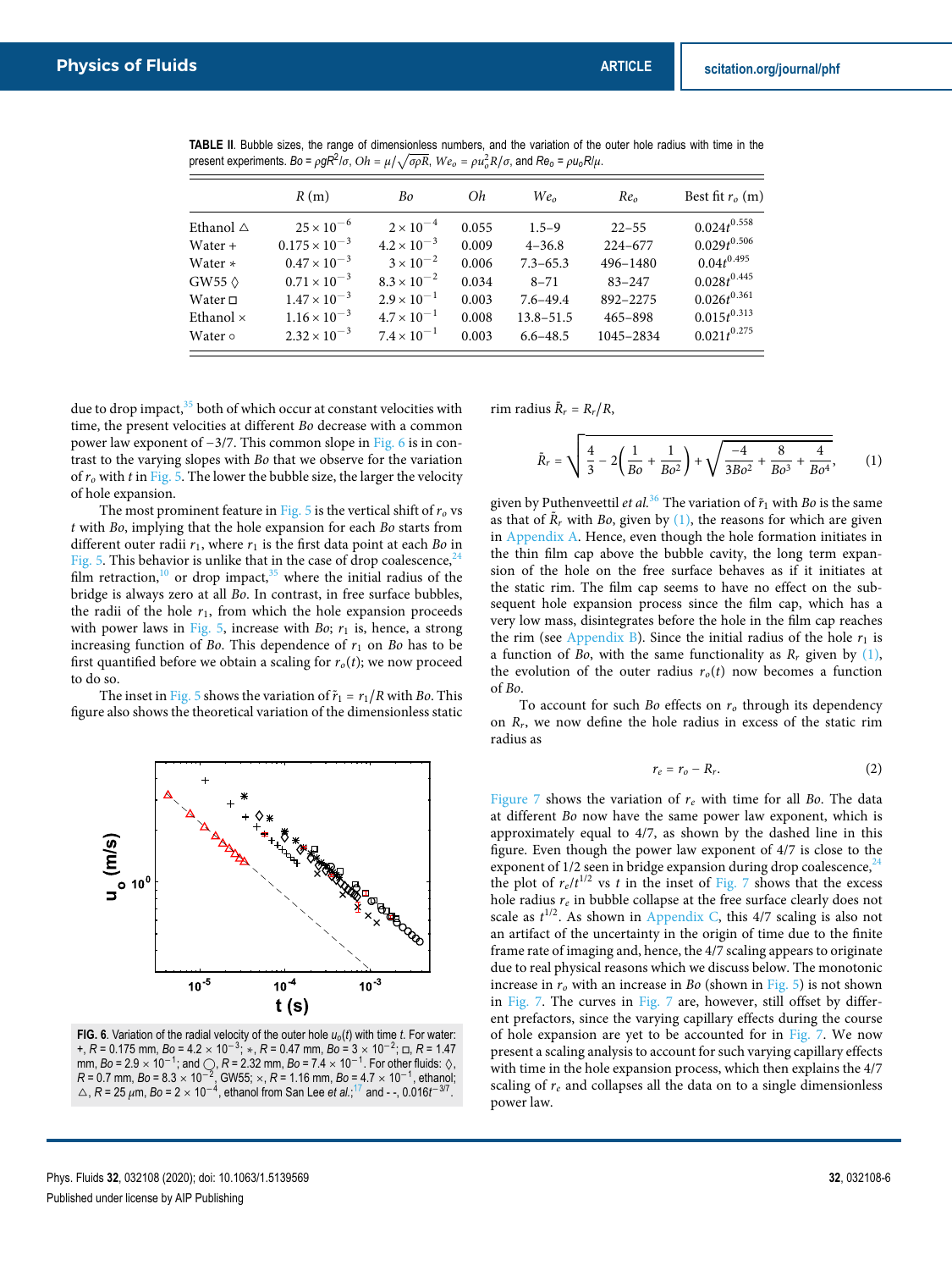|  |  |  |                                                                                                                                                | <b>TABLE II.</b> Bubble sizes, the range of dimensionless numbers, and the variation of the outer hole radius with time in the |  |  |  |  |
|--|--|--|------------------------------------------------------------------------------------------------------------------------------------------------|--------------------------------------------------------------------------------------------------------------------------------|--|--|--|--|
|  |  |  | present experiments. Bo = $\rho g R^2/\sigma$ , $Oh = \mu/\sqrt{\sigma \rho R}$ , $We_o = \rho u_o^2 R/\sigma$ , and $Re_o = \rho u_o R/\mu$ . |                                                                                                                                |  |  |  |  |

|           | R(m)                   | Bo                   | Oh    | We <sub>o</sub> | Re <sub>o</sub> | Best fit $ro$ (m) |
|-----------|------------------------|----------------------|-------|-----------------|-----------------|-------------------|
| Ethanol ∆ | $25 \times 10^{-6}$    | $2 \times 10^{-4}$   | 0.055 | $1.5 - 9$       | $22 - 55$       | $0.024t^{0.558}$  |
| Water +   | $0.175 \times 10^{-3}$ | $4.2 \times 10^{-3}$ | 0.009 | $4 - 36.8$      | $224 - 677$     | $0.029t^{0.506}$  |
| Water *   | $0.47 \times 10^{-3}$  | $3 \times 10^{-2}$   | 0.006 | $7.3 - 65.3$    | 496-1480        | $0.04t^{0.495}$   |
|           | $0.71 \times 10^{-3}$  | $8.3 \times 10^{-2}$ | 0.034 | $8 - 71$        | $83 - 247$      | $0.028t^{0.445}$  |
| Water □   | $1.47 \times 10^{-3}$  | $2.9 \times 10^{-1}$ | 0.003 | $7.6 - 49.4$    | 892-2275        | $0.026t^{0.361}$  |
| Ethanol × | $1.16 \times 10^{-3}$  | $4.7 \times 10^{-1}$ | 0.008 | $13.8 - 51.5$   | $465 - 898$     | $0.015t^{0.313}$  |
| Water ०   | $2.32 \times 10^{-3}$  | $7.4 \times 10^{-1}$ | 0.003 | $6.6 - 48.5$    | 1045-2834       | $0.021t^{0.275}$  |

due to drop impact, $35$  both of which occur at constant velocities with time, the present velocities at different Bo decrease with a common power law exponent of −3/7. This common slope in Fig. 6 is in contrast to the varying slopes with Bo that we observe for the variation of  $r<sub>o</sub>$  with t in Fig. 5. The lower the bubble size, the larger the velocity of hole expansion.

The most prominent feature in Fig. 5 is the vertical shift of  $r<sub>o</sub>$  vs t with Bo, implying that the hole expansion for each Bo starts from different outer radii  $r_1$ , where  $r_1$  is the first data point at each Bo in Fig. 5. This behavior is unlike that in the case of drop coalescence,  $^{24}$ film retraction, $10$  or drop impact, $35$  where the initial radius of the bridge is always zero at all Bo. In contrast, in free surface bubbles, the radii of the hole  $r_1$ , from which the hole expansion proceeds with power laws in Fig. 5, increase with Bo;  $r_1$  is, hence, a strong increasing function of Bo. This dependence of  $r_1$  on Bo has to be first quantified before we obtain a scaling for  $r_o(t)$ ; we now proceed to do so.

The inset in Fig. 5 shows the variation of  $\tilde{r}_1 = r_1/R$  with Bo. This figure also shows the theoretical variation of the dimensionless static



**FIG. 6.** Variation of the radial velocity of the outer hole  $u_0(t)$  with time *t*. For water: +, *<sup>R</sup>* = 0.175 mm, *Bo* = 4.2 <sup>×</sup> <sup>10</sup>−<sup>3</sup> ; <sup>∗</sup>, *<sup>R</sup>* = 0.47 mm, *Bo* = 3 <sup>×</sup> <sup>10</sup>−<sup>2</sup> ; ◽, *R* = 1.47 mm, *Bo* = 2.9 × 10<sup>-1</sup>; and ○, *R* = 2.32 mm, *Bo* = 7.4 × 10<sup>-1</sup>. For other fluids: ◊,<br>*R* = 0.7 mm, *Bo* = 8.3 × 10<sup>-2</sup>, GW55; ×, *R* = 1.16 mm, *Bo* = 4.7 × 10<sup>-1</sup>, ethanol;<br>△, *R* = 25 μm, *Bo* = 2 × 10<sup>-4</sup>, ethanol

rim radius  $\tilde{R}_r = R_r / R$ ,

$$
\tilde{R}_r = \sqrt{\frac{4}{3} - 2\left(\frac{1}{Bo} + \frac{1}{Bo^2}\right) + \sqrt{\frac{-4}{3Bo^2} + \frac{8}{Bo^3} + \frac{4}{Bo^4}}},
$$
 (1)

given by Puthenveettil et al.<sup>36</sup> The variation of  $\tilde{r}_1$  with Bo is the same as that of  $\tilde{R}_r$  with Bo, given by (1), the reasons for which are given in Appendix A. Hence, even though the hole formation initiates in the thin film cap above the bubble cavity, the long term expansion of the hole on the free surface behaves as if it initiates at the static rim. The film cap seems to have no effect on the subsequent hole expansion process since the film cap, which has a very low mass, disintegrates before the hole in the film cap reaches the rim (see Appendix B). Since the initial radius of the hole  $r_1$  is a function of Bo, with the same functionality as  $R_r$  given by (1), the evolution of the outer radius  $r<sub>o</sub>(t)$  now becomes a function of Bo.

To account for such Bo effects on  $r<sub>o</sub>$  through its dependency on  $R_r$ , we now define the hole radius in excess of the static rim radius as

$$
r_e = r_o - R_r. \tag{2}
$$

Figure 7 shows the variation of  $r_e$  with time for all Bo. The data at different Bo now have the same power law exponent, which is approximately equal to 4/7, as shown by the dashed line in this figure. Even though the power law exponent of 4/7 is close to the exponent of  $1/2$  seen in bridge expansion during drop coalescence,  $24$ the plot of  $r_e/t^{1/2}$  vs t in the inset of Fig. 7 shows that the excess hole radius  $r_e$  in bubble collapse at the free surface clearly does not scale as  $t^{1/2}$ . As shown in Appendix C, this 4/7 scaling is also not an artifact of the uncertainty in the origin of time due to the finite frame rate of imaging and, hence, the 4/7 scaling appears to originate due to real physical reasons which we discuss below. The monotonic increase in  $r<sub>o</sub>$  with an increase in Bo (shown in Fig. 5) is not shown in Fig. 7. The curves in Fig. 7 are, however, still offset by different prefactors, since the varying capillary effects during the course of hole expansion are yet to be accounted for in Fig. 7. We now present a scaling analysis to account for such varying capillary effects with time in the hole expansion process, which then explains the 4/7 scaling of  $r_e$  and collapses all the data on to a single dimensionless power law.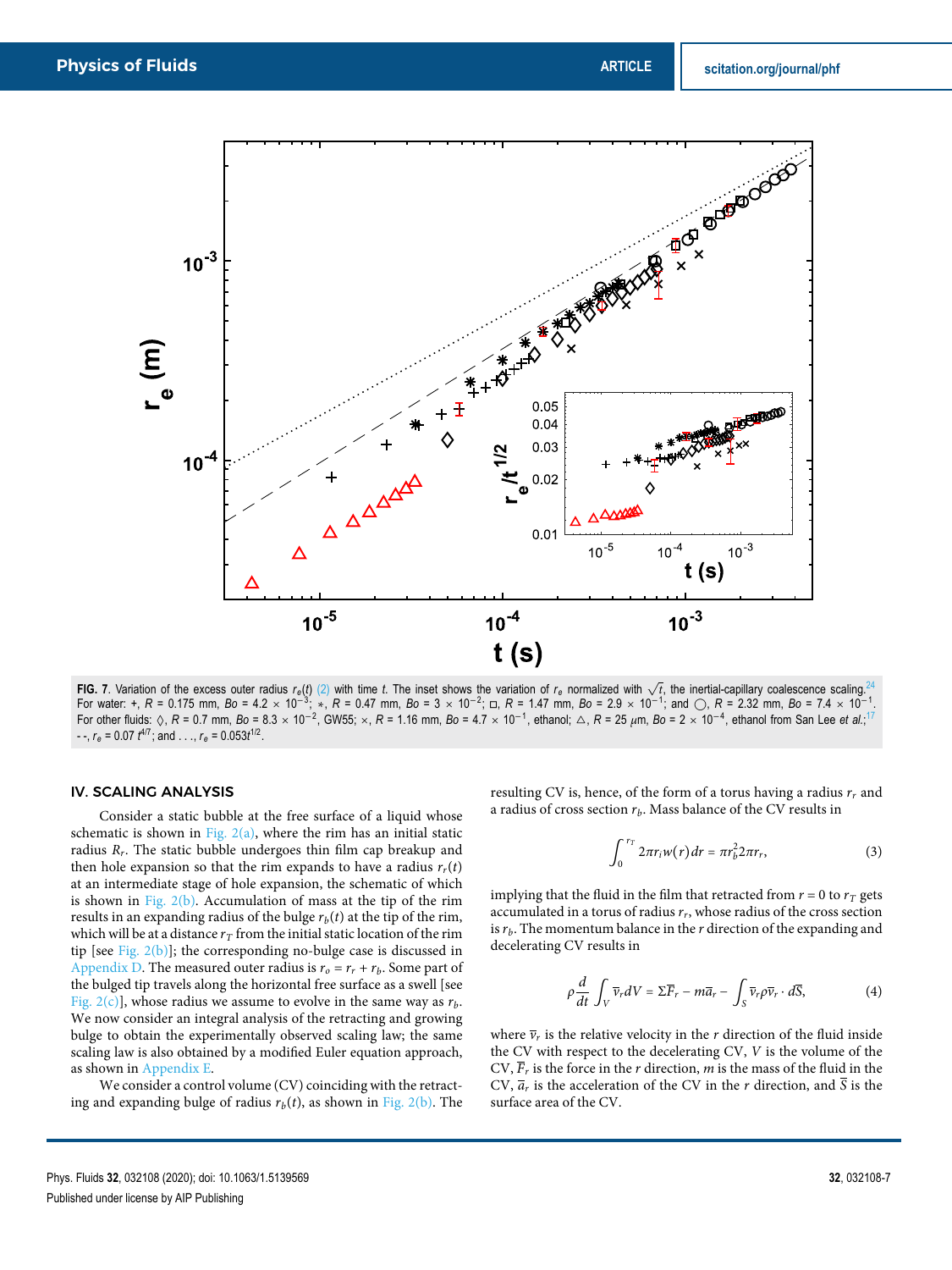

FIG. 7. Variation of the excess outer radius  $r_e(t)$  (2) with time t. The inset shows the variation of  $r_e$  normalized with  $\sqrt{t}$ , the inertial-capillary coalescence scaling.<sup>24</sup> For water: +, *R* = 0.175 mm, *Bo* = 4.2 × 10<sup>-3</sup>; ∗, *R* = 0.47 mm, *Bo* = 3 × 10<sup>-2</sup>; □, *R* = 1.47 mm, *Bo* = 2.9 × 10<sup>-1</sup>; and ○, *R* = 2.32 mm, *Bo* = 7.4 × 10<sup>-1</sup> For other fluids: ◊, *R* = 0.7 mm, *Bo* = 8.3 × 10<sup>-2</sup>, GW55; ×, *R* = 1.16 mm, *Bo* = 4.7 × 10<sup>-1</sup>, ethanol; △, *R* = 25 μm, *Bo* = 2 × 10<sup>-4</sup>, ethanol from San Lee *et al.*;<sup>17</sup>  $r - r$ ,  $r_e = 0.07 t^{4/7}$ ; and . . .,  $r_e = 0.053t^{1/2}$ .

# IV. SCALING ANALYSIS

Consider a static bubble at the free surface of a liquid whose schematic is shown in Fig.  $2(a)$ , where the rim has an initial static radius  $R_r$ . The static bubble undergoes thin film cap breakup and then hole expansion so that the rim expands to have a radius  $r_r(t)$ at an intermediate stage of hole expansion, the schematic of which is shown in Fig.  $2(b)$ . Accumulation of mass at the tip of the rim results in an expanding radius of the bulge  $r_b(t)$  at the tip of the rim, which will be at a distance  $r_T$  from the initial static location of the rim tip [see Fig. 2(b)]; the corresponding no-bulge case is discussed in Appendix D. The measured outer radius is  $r_o = r_r + r_b$ . Some part of the bulged tip travels along the horizontal free surface as a swell [see Fig. 2(c)], whose radius we assume to evolve in the same way as  $r_b$ . We now consider an integral analysis of the retracting and growing bulge to obtain the experimentally observed scaling law; the same scaling law is also obtained by a modified Euler equation approach, as shown in Appendix E.

We consider a control volume (CV) coinciding with the retracting and expanding bulge of radius  $r_b(t)$ , as shown in Fig. 2(b). The resulting CV is, hence, of the form of a torus having a radius  $r_r$  and a radius of cross section  $r_b$ . Mass balance of the CV results in

$$
\int_0^{r_T} 2\pi r_i w(r) dr = \pi r_b^2 2\pi r_r, \qquad (3)
$$

implying that the fluid in the film that retracted from  $r = 0$  to  $r<sub>T</sub>$  gets accumulated in a torus of radius  $r_r$ , whose radius of the cross section is  $r_b$ . The momentum balance in the  $r$  direction of the expanding and decelerating CV results in

$$
\rho \frac{d}{dt} \int_{V} \overline{v}_{r} dV = \Sigma \overline{F}_{r} - m \overline{a}_{r} - \int_{S} \overline{v}_{r} \rho \overline{v}_{r} \cdot d\overline{S}, \tag{4}
$$

where  $\overline{v}_r$  is the relative velocity in the *r* direction of the fluid inside the CV with respect to the decelerating CV, V is the volume of the CV,  $\overline{F}_r$  is the force in the *r* direction, *m* is the mass of the fluid in the CV,  $\overline{a}_r$  is the acceleration of the CV in the *r* direction, and  $\overline{S}$  is the surface area of the CV.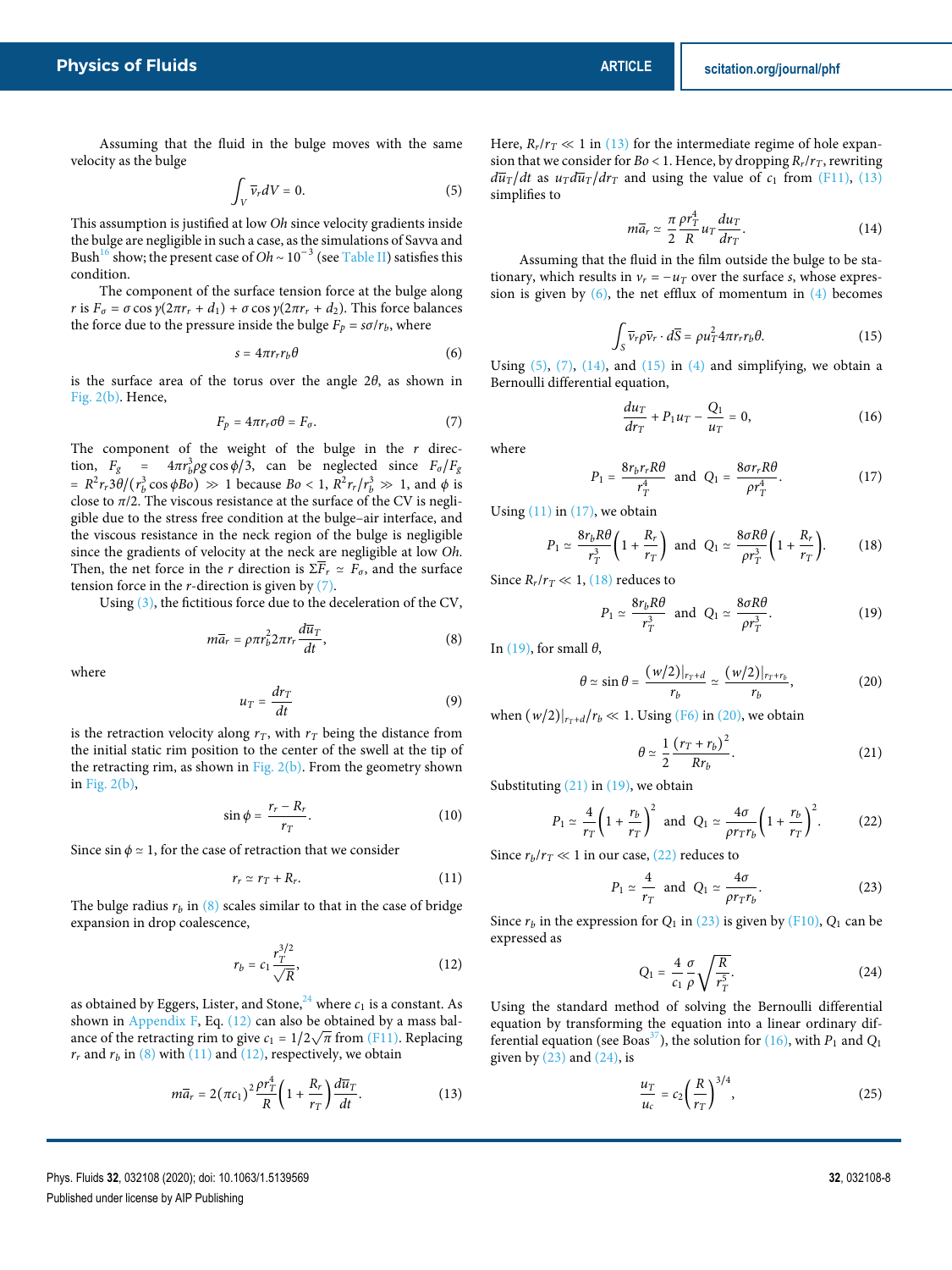Assuming that the fluid in the bulge moves with the same velocity as the bulge

$$
\int_{V} \overline{\nu}_r dV = 0. \tag{5}
$$

This assumption is justified at low Oh since velocity gradients inside the bulge are negligible in such a case, as the simulations of Savva and Bush<sup>16</sup> show; the present case of Oh ~  $10^{-3}$  (see Table II) satisfies this condition.

The component of the surface tension force at the bulge along *r* is  $F_{\sigma} = \sigma \cos \gamma (2\pi r_r + d_1) + \sigma \cos \gamma (2\pi r_r + d_2)$ . This force balances the force due to the pressure inside the bulge  $F_p = s\sigma/r_b$ , where

$$
s = 4\pi r_r r_b \theta \tag{6}
$$

is the surface area of the torus over the angle 2*θ*, as shown in Fig. 2(b). Hence,

$$
F_p = 4\pi r_r \sigma \theta = F_\sigma. \tag{7}
$$

The component of the weight of the bulge in the  $r$  direction,  $F_g = 4\pi r_b^3 \rho g \cos \phi / 3$ , can be neglected since  $F_\sigma / F_g$  $= R^2 r_r 3\theta / (r_b^3 \cos \phi \cdot B_o) \gg 1$  because  $B_o < 1$ ,  $R^2 r_r / r_b^3 \gg 1$ , and  $\phi$  is close to  $\pi/2$ . The viscous resistance at the surface of the CV is negligible due to the stress free condition at the bulge–air interface, and the viscous resistance in the neck region of the bulge is negligible since the gradients of velocity at the neck are negligible at low Oh. Then, the net force in the *r* direction is  $\Sigma \overline{F}_r \simeq F_\sigma$ , and the surface tension force in the  $r$ -direction is given by  $(7)$ .

Using (3), the fictitious force due to the deceleration of the CV,

$$
m\overline{a}_r = \rho \pi r_b^2 2\pi r_r \frac{d\overline{u}_T}{dt},
$$
\n(8)

where

$$
u_T = \frac{dr_T}{dt} \tag{9}
$$

is the retraction velocity along  $r<sub>T</sub>$ , with  $r<sub>T</sub>$  being the distance from the initial static rim position to the center of the swell at the tip of the retracting rim, as shown in Fig.  $2(b)$ . From the geometry shown in Fig. 2(b),

$$
\sin \phi = \frac{r_r - R_r}{r_T}.\tag{10}
$$

Since sin  $\phi \approx 1$ , for the case of retraction that we consider

$$
r_r \simeq r_T + R_r. \tag{11}
$$

The bulge radius  $r_b$  in (8) scales similar to that in the case of bridge expansion in drop coalescence,

$$
r_b = c_1 \frac{r_T^{3/2}}{\sqrt{R}},\tag{12}
$$

as obtained by Eggers, Lister, and Stone, $^{24}$  where  $c_1$  is a constant. As shown in Appendix F, Eq. (12) can also be obtained by a mass balance of the retracting rim to give  $c_1 = 1/2\sqrt{\pi}$  from (F11). Replacing  $r_r$  and  $r_b$  in (8) with (11) and (12), respectively, we obtain

$$
m\overline{a}_r = 2(\pi c_1)^2 \frac{\rho r_T^4}{R} \left(1 + \frac{R_r}{r_T}\right) \frac{d\overline{u}_T}{dt}.
$$
 (13)

Here,  $R_r/r_T \ll 1$  in (13) for the intermediate regime of hole expansion that we consider for  $Bo < 1$ . Hence, by dropping  $R_r/r_T$ , rewriting  $d\overline{u}_T/dt$  as  $u_T d\overline{u}_T/dr_T$  and using the value of  $c_1$  from (F11), (13) simplifies to

$$
m\overline{a}_r \simeq \frac{\pi}{2} \frac{\rho r_T^4}{R} u_T \frac{du_T}{dr_T}.
$$
 (14)

Assuming that the fluid in the film outside the bulge to be stationary, which results in  $v_r = -u_T$  over the surface s, whose expression is given by  $(6)$ , the net efflux of momentum in  $(4)$  becomes

$$
\int_{S} \overline{v}_r \rho \overline{v}_r \cdot d\overline{S} = \rho u_T^2 4\pi r_r r_b \theta. \tag{15}
$$

Using  $(5)$ ,  $(7)$ ,  $(14)$ , and  $(15)$  in  $(4)$  and simplifying, we obtain a Bernoulli differential equation,

$$
\frac{du_T}{dr_T} + P_1 u_T - \frac{Q_1}{u_T} = 0, \qquad (16)
$$

where

$$
P_1 = \frac{8r_b r_r R\theta}{r_T^4} \text{ and } Q_1 = \frac{8\sigma r_r R\theta}{\rho r_T^4}.
$$
 (17)

Using  $(11)$  in  $(17)$ , we obtain

$$
P_1 \simeq \frac{8r_b R\theta}{r_T^3} \bigg( 1 + \frac{R_r}{r_T} \bigg) \text{ and } Q_1 \simeq \frac{8\sigma R\theta}{\rho r_T^3} \bigg( 1 + \frac{R_r}{r_T} \bigg). \tag{18}
$$

Since  $R_r/r_T \ll 1$ , (18) reduces to

$$
P_1 \simeq \frac{8r_bR\theta}{r_T^3} \text{ and } Q_1 \simeq \frac{8\sigma R\theta}{\rho r_T^3}.
$$
 (19)

In (19), for small *θ*,

$$
\theta \simeq \sin \theta = \frac{(w/2)|_{r_T + d}}{r_b} \simeq \frac{(w/2)|_{r_T + r_b}}{r_b},\tag{20}
$$

when  $(w/2)|_{r+\frac{d}{r}}/r_b \ll 1$ . Using (F6) in (20), we obtain

$$
\theta \simeq \frac{1}{2} \frac{(r_T + r_b)^2}{R r_b}.
$$
\n(21)

Substituting  $(21)$  in  $(19)$ , we obtain

$$
P_1 \simeq \frac{4}{r_T} \left( 1 + \frac{r_b}{r_T} \right)^2 \text{ and } Q_1 \simeq \frac{4\sigma}{\rho r_T r_b} \left( 1 + \frac{r_b}{r_T} \right)^2. \tag{22}
$$

Since  $r_b/r_T \ll 1$  in our case, (22) reduces to

$$
P_1 \simeq \frac{4}{r_T} \text{ and } Q_1 \simeq \frac{4\sigma}{\rho r_T r_b}.
$$
 (23)

Since  $r_b$  in the expression for  $Q_1$  in (23) is given by (F10),  $Q_1$  can be expressed as

$$
Q_1 = \frac{4}{c_1} \frac{\sigma}{\rho} \sqrt{\frac{R}{r_T^5}}.
$$
 (24)

Using the standard method of solving the Bernoulli differential equation by transforming the equation into a linear ordinary differential equation (see Boas<sup>37</sup>), the solution for (16), with  $P_1$  and  $Q_1$ given by  $(23)$  and  $(24)$ , is

$$
\frac{u_T}{u_c} = c_2 \left(\frac{R}{r_T}\right)^{3/4},\tag{25}
$$

Phys. Fluids **32**, 032108 (2020); doi: 10.1063/1.5139569 **32**, 032108-8 Published under license by AIP Publishing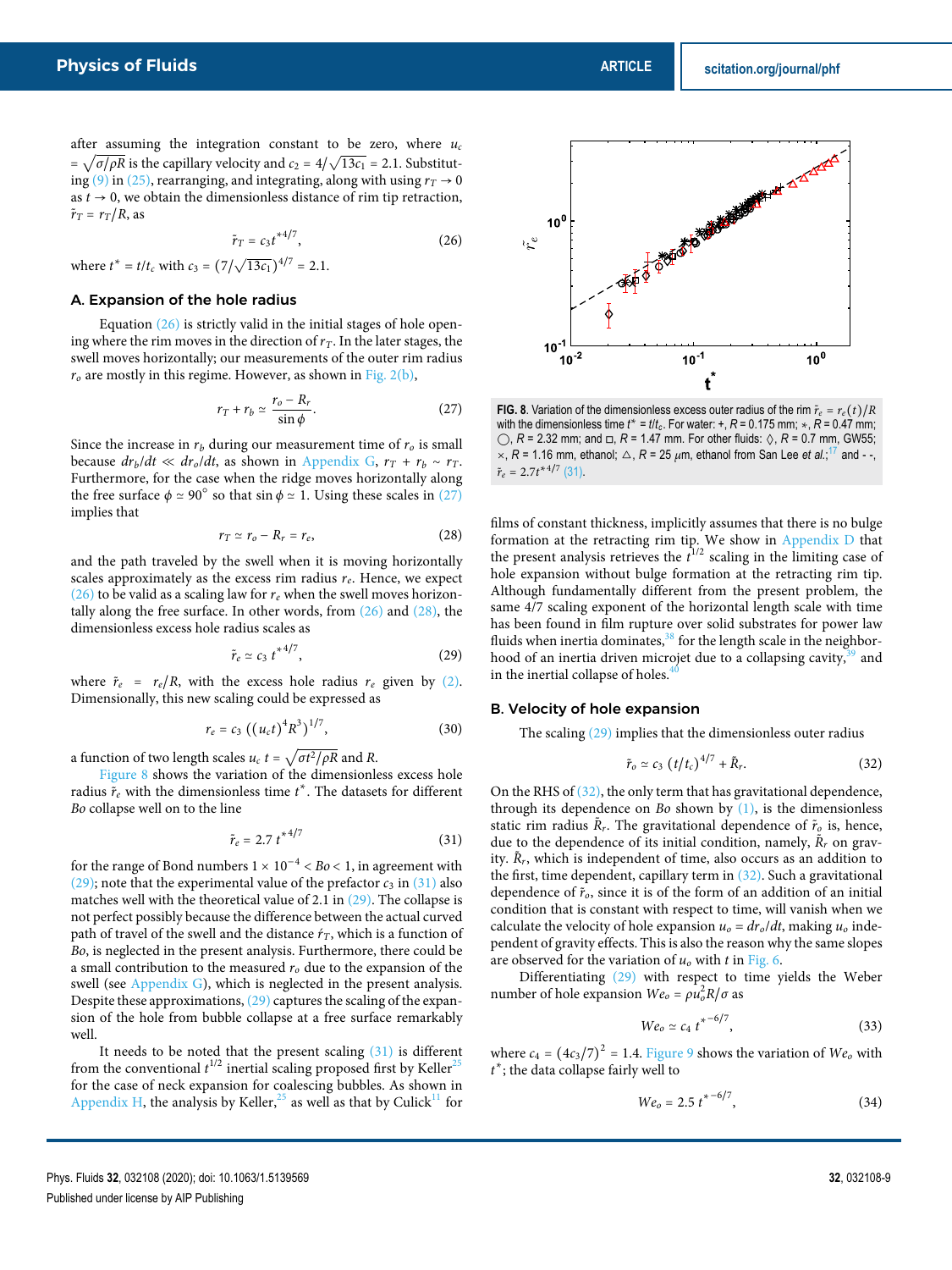after assuming the integration constant to be zero, where  $u_c$  $=\sqrt{\frac{\sigma}{\rho R}}$  is the capillary velocity and  $c_2 = \frac{4}{\sqrt{13c_1}} = 2.1$ . Substituting (9) in (25), rearranging, and integrating, along with using  $r_T \rightarrow 0$ as  $t \to 0$ , we obtain the dimensionless distance of rim tip retraction,  $\tilde{r}_T = r_T/R$ , as

$$
\tilde{r}_T = c_3 t^{*4/7},\tag{26}
$$

where  $t^* = t/t_c$  with  $c_3 = (7/\sqrt{13c_1})^{4/7} = 2.1$ .

# A. Expansion of the hole radius

Equation  $(26)$  is strictly valid in the initial stages of hole opening where the rim moves in the direction of  $r<sub>T</sub>$ . In the later stages, the swell moves horizontally; our measurements of the outer rim radius  $r<sub>o</sub>$  are mostly in this regime. However, as shown in Fig. 2(b),

$$
r_T + r_b \simeq \frac{r_o - R_r}{\sin \phi}.\tag{27}
$$

Since the increase in  $r<sub>b</sub>$  during our measurement time of  $r<sub>o</sub>$  is small because  $dr_b/dt \ll dr_o/dt$ , as shown in Appendix G,  $r_T + r_b \sim r_T$ . Furthermore, for the case when the ridge moves horizontally along the free surface  $\phi \simeq 90^\circ$  so that sin  $\phi \simeq 1$ . Using these scales in (27) implies that

$$
r_T \simeq r_o - R_r = r_e, \qquad (28)
$$

and the path traveled by the swell when it is moving horizontally scales approximately as the excess rim radius  $r_e$ . Hence, we expect (26) to be valid as a scaling law for  $r_e$  when the swell moves horizontally along the free surface. In other words, from  $(26)$  and  $(28)$ , the dimensionless excess hole radius scales as

$$
\tilde{r}_e \simeq c_3 \, t^{*4/7},\tag{29}
$$

where  $\tilde{r}_e = r_e/R$ , with the excess hole radius  $r_e$  given by (2). Dimensionally, this new scaling could be expressed as

$$
r_e = c_3 \left( \left( u_c t \right)^4 R^3 \right)^{1/7}, \tag{30}
$$

a function of two length scales  $u_c t = \sqrt{\sigma t^2/\rho R}$  and R.

Figure 8 shows the variation of the dimensionless excess hole radius  $\tilde{r}_e$  with the dimensionless time  $t^*$ . The datasets for different Bo collapse well on to the line

$$
\tilde{r}_e = 2.7 \ t^{*4/7} \tag{31}
$$

for the range of Bond numbers  $1 \times 10^{-4} < Bo < 1$ , in agreement with (29); note that the experimental value of the prefactor  $c_3$  in (31) also matches well with the theoretical value of 2.1 in  $(29)$ . The collapse is not perfect possibly because the difference between the actual curved path of travel of the swell and the distance  $r<sub>T</sub>$ , which is a function of Bo, is neglected in the present analysis. Furthermore, there could be a small contribution to the measured  $r<sub>o</sub>$  due to the expansion of the swell (see Appendix G), which is neglected in the present analysis. Despite these approximations, (29) captures the scaling of the expansion of the hole from bubble collapse at a free surface remarkably well.

It needs to be noted that the present scaling (31) is different from the conventional  $t^{1/2}$  inertial scaling proposed first by Keller<sup>25</sup> for the case of neck expansion for coalescing bubbles. As shown in Appendix H, the analysis by Keller,  $25$  as well as that by Culick<sup>11</sup> for



**FIG. 8**. Variation of the dimensionless excess outer radius of the rim  $\tilde{r}_e = r_e(t)/R$ with the dimensionless time  $t^* = t/t_c$ . For water: +,  $R = 0.175$  mm;  $\star$ ,  $R = 0.47$  mm; ◯, *<sup>R</sup>* = 2.32 mm; and <sup>◽</sup>, *<sup>R</sup>* = 1.47 mm. For other fluids: ◊, *<sup>R</sup>* = 0.7 mm, GW55;  $\times$ ,  $R = 1.16$  mm, ethanol;  $\Delta$ ,  $R = 25 \mu$ m, ethanol from San Lee *et al.*;<sup>17</sup> and --,  $\tilde{r}_e = 2.7t^{*4/7}$  (31).

films of constant thickness, implicitly assumes that there is no bulge formation at the retracting rim tip. We show in Appendix D that the present analysis retrieves the  $\hat{t}^{1/2}$  scaling in the limiting case of hole expansion without bulge formation at the retracting rim tip. Although fundamentally different from the present problem, the same 4/7 scaling exponent of the horizontal length scale with time has been found in film rupture over solid substrates for power law fluids when inertia dominates, $38$  for the length scale in the neighborhood of an inertia driven microjet due to a collapsing cavity,<sup>39</sup> and in the inertial collapse of holes. $\frac{4}{3}$ 

#### B. Velocity of hole expansion

The scaling (29) implies that the dimensionless outer radius

$$
\tilde{r}_o \simeq c_3 \left( t/t_c \right)^{4/7} + \tilde{R}_r. \tag{32}
$$

On the RHS of (32), the only term that has gravitational dependence, through its dependence on Bo shown by  $(1)$ , is the dimensionless static rim radius  $\tilde{R}_r$ . The gravitational dependence of  $\tilde{r}_o$  is, hence, due to the dependence of its initial condition, namely,  $\tilde{R}_r$  on gravity.  $\tilde{R}_r$ , which is independent of time, also occurs as an addition to the first, time dependent, capillary term in (32). Such a gravitational dependence of  $\tilde{r}_o$ , since it is of the form of an addition of an initial condition that is constant with respect to time, will vanish when we calculate the velocity of hole expansion  $u_0 = dr_0/dt$ , making  $u_0$  independent of gravity effects. This is also the reason why the same slopes are observed for the variation of  $u_0$  with t in Fig. 6.

Differentiating (29) with respect to time yields the Weber number of hole expansion  $We_0 = \rho u_0^2 R / \sigma$  as

$$
We_0 \simeq c_4 \, t^{* - 6/7},\tag{33}
$$

where  $c_4 = (4c_3/7)^2 = 1.4$ . Figure 9 shows the variation of  $We_o$  with t ∗ ; the data collapse fairly well to

$$
We_o = 2.5 \t t^{* - 6/7}, \t(34)
$$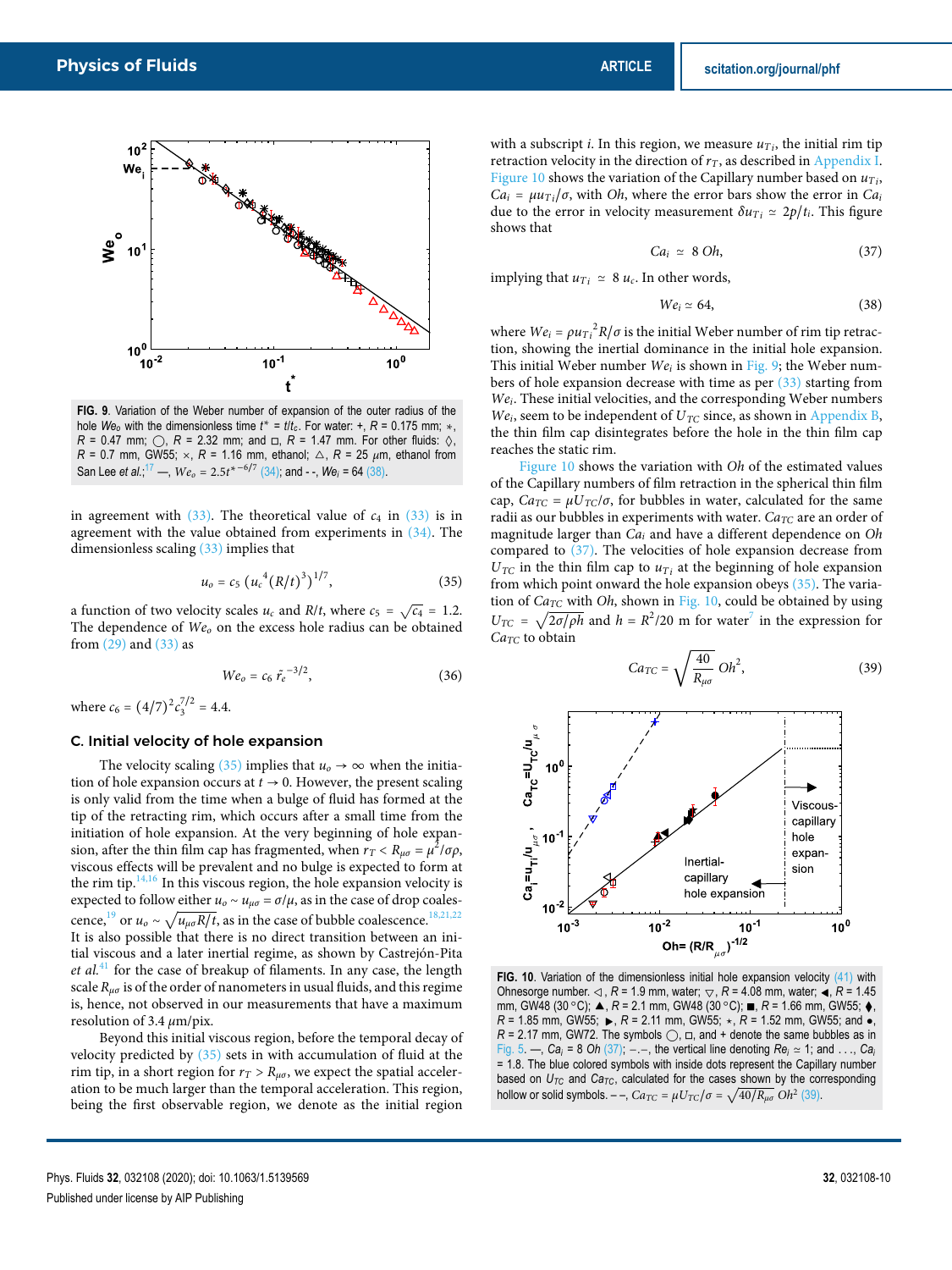

**FIG. 9**. Variation of the Weber number of expansion of the outer radius of the hole  $We_0$  with the dimensionless time  $t^* = t/t_c$ . For water: +,  $R = 0.175$  mm;  $\star$ ,  $R = 0.47$  mm;  $\bigcirc$ ,  $R = 2.32$  mm; and  $\Box$ ,  $R = 1.47$  mm. For other fluids:  $\Diamond$ ,  $R = 0.7$  mm, GW55;  $\times$ ,  $R = 1.16$  mm, ethanol;  $\triangle$ ,  $R = 25$   $\mu$ m, ethanol from San Lee *et al.*;<sup>17</sup> —,  $We_o = 2.5t^{* - 6/7}$  (34); and --,  $We_i = 64$  (38).

in agreement with  $(33)$ . The theoretical value of  $c_4$  in  $(33)$  is in agreement with the value obtained from experiments in (34). The dimensionless scaling (33) implies that

$$
u_o = c_5 \left( u_c^4 (R/t)^3 \right)^{1/7}, \tag{35}
$$

a function of two velocity scales  $u_c$  and  $R/t$ , where  $c_5 = \sqrt{c_4} = 1.2$ . The dependence of  $We<sub>o</sub>$  on the excess hole radius can be obtained from (29) and (33) as

$$
We_o = c_6 \tilde{r}_e^{-3/2}, \tag{36}
$$

where  $c_6 = (4/7)^2 c_3^{7/2} = 4.4$ .

# C. Initial velocity of hole expansion

The velocity scaling (35) implies that  $u_0 \rightarrow \infty$  when the initiation of hole expansion occurs at  $t \to 0$ . However, the present scaling is only valid from the time when a bulge of fluid has formed at the tip of the retracting rim, which occurs after a small time from the initiation of hole expansion. At the very beginning of hole expansion, after the thin film cap has fragmented, when  $r_T < R_{\mu\sigma} = \mu^2/\sigma\rho$ , viscous effects will be prevalent and no bulge is expected to form at the rim tip. $\frac{14,16}{10}$  In this viscous region, the hole expansion velocity is expected to follow either  $u_0 \sim u_{\mu\sigma} = \sigma/\mu$ , as in the case of drop coalescence,<sup>19</sup> or  $u_o \sim \sqrt{u_{\mu\sigma}R/t}$ , as in the case of bubble coalescence.<sup>18,21,22</sup> It is also possible that there is no direct transition between an initial viscous and a later inertial regime, as shown by Castrejón-Pita et  $al<sup>41</sup>$  for the case of breakup of filaments. In any case, the length scale  $R_{\mu\sigma}$  is of the order of nanometers in usual fluids, and this regime is, hence, not observed in our measurements that have a maximum resolution of 3.4 *μ*m/pix.

Beyond this initial viscous region, before the temporal decay of velocity predicted by (35) sets in with accumulation of fluid at the rim tip, in a short region for  $r_T > R_{\mu\sigma}$ , we expect the spatial acceleration to be much larger than the temporal acceleration. This region, being the first observable region, we denote as the initial region

with a subscript *i*. In this region, we measure  $u_{Ti}$ , the initial rim tip retraction velocity in the direction of  $r<sub>T</sub>$ , as described in Appendix I. Figure 10 shows the variation of the Capillary number based on  $u_{Ti}$ ,  $Ca_i = \mu u_{Ti}/\sigma$ , with *Oh*, where the error bars show the error in  $Ca_i$ due to the error in velocity measurement  $\delta u_{Ti} \simeq 2p/t_i$ . This figure shows that

$$
Ca_i \simeq 8 \; Oh, \tag{37}
$$

implying that  $u_{Ti} \approx 8 u_c$ . In other words,

$$
We_i \simeq 64,\tag{38}
$$

where  $We_i = \rho u_{Ti}^2 R / \sigma$  is the initial Weber number of rim tip retraction, showing the inertial dominance in the initial hole expansion. This initial Weber number  $We_i$  is shown in Fig. 9; the Weber numbers of hole expansion decrease with time as per  $(33)$  starting from Wei. These initial velocities, and the corresponding Weber numbers  $We<sub>i</sub>$ , seem to be independent of  $U<sub>TC</sub>$  since, as shown in Appendix B, the thin film cap disintegrates before the hole in the thin film cap reaches the static rim.

Figure 10 shows the variation with Oh of the estimated values of the Capillary numbers of film retraction in the spherical thin film cap,  $Ca_{TC} = \mu U_{TC}/\sigma$ , for bubbles in water, calculated for the same radii as our bubbles in experiments with water.  $Ca_{TC}$  are an order of magnitude larger than  $Ca<sub>i</sub>$  and have a different dependence on  $Oh$ compared to (37). The velocities of hole expansion decrease from  $U_{TC}$  in the thin film cap to  $u_{Ti}$  at the beginning of hole expansion from which point onward the hole expansion obeys (35). The variation of  $Ca_{TC}$  with Oh, shown in Fig. 10, could be obtained by using  $U_{TC} = \sqrt{\frac{2\sigma}{\rho h}}$  and  $h = R^2/20$  m for water<sup>7</sup> in the expression for  $Ca_{TC}$  to obtain

$$
Ca_{TC} = \sqrt{\frac{40}{R_{\mu\sigma}}} \, Oh^2,\tag{39}
$$



**FIG. 10**. Variation of the dimensionless initial hole expansion velocity (41) with Ohnesorge number. <sup>◁</sup>, *<sup>R</sup>* = 1.9 mm, water; ▽, *<sup>R</sup>* = 4.08 mm, water; ◂, *<sup>R</sup>* = 1.45 mm, GW48 (30 ○C); ▲, *<sup>R</sup>* = 2.1 mm, GW48 (30 ○C); <sup>∎</sup>, *<sup>R</sup>* = 1.66 mm, GW55; <sup>⧫</sup>,  $R = 1.85$  mm, GW55;  $\triangleright$ ,  $R = 2.11$  mm, GW55;  $\star$ ,  $R = 1.52$  mm, GW55; and  $\bullet$ ,  $R = 2.17$  mm, GW72. The symbols  $\bigcirc$ ,  $\Box$ , and + denote the same bubbles as in Fig. 5. —,  $Ca_i = 8$  *Oh* (37); −. –, the vertical line denoting  $Re_i \approx 1$ ; and . . .,  $Ca_i$ = 1.8. The blue colored symbols with inside dots represent the Capillary number based on  $U_{TC}$  and  $Ca_{TC}$ , calculated for the cases shown by the corresponding hollow or solid symbols. – –,  $Ca_{TC} = \mu U_{TC}/\sigma = \sqrt{40/R_{\mu\sigma}} O_{\mu}^2$  (39).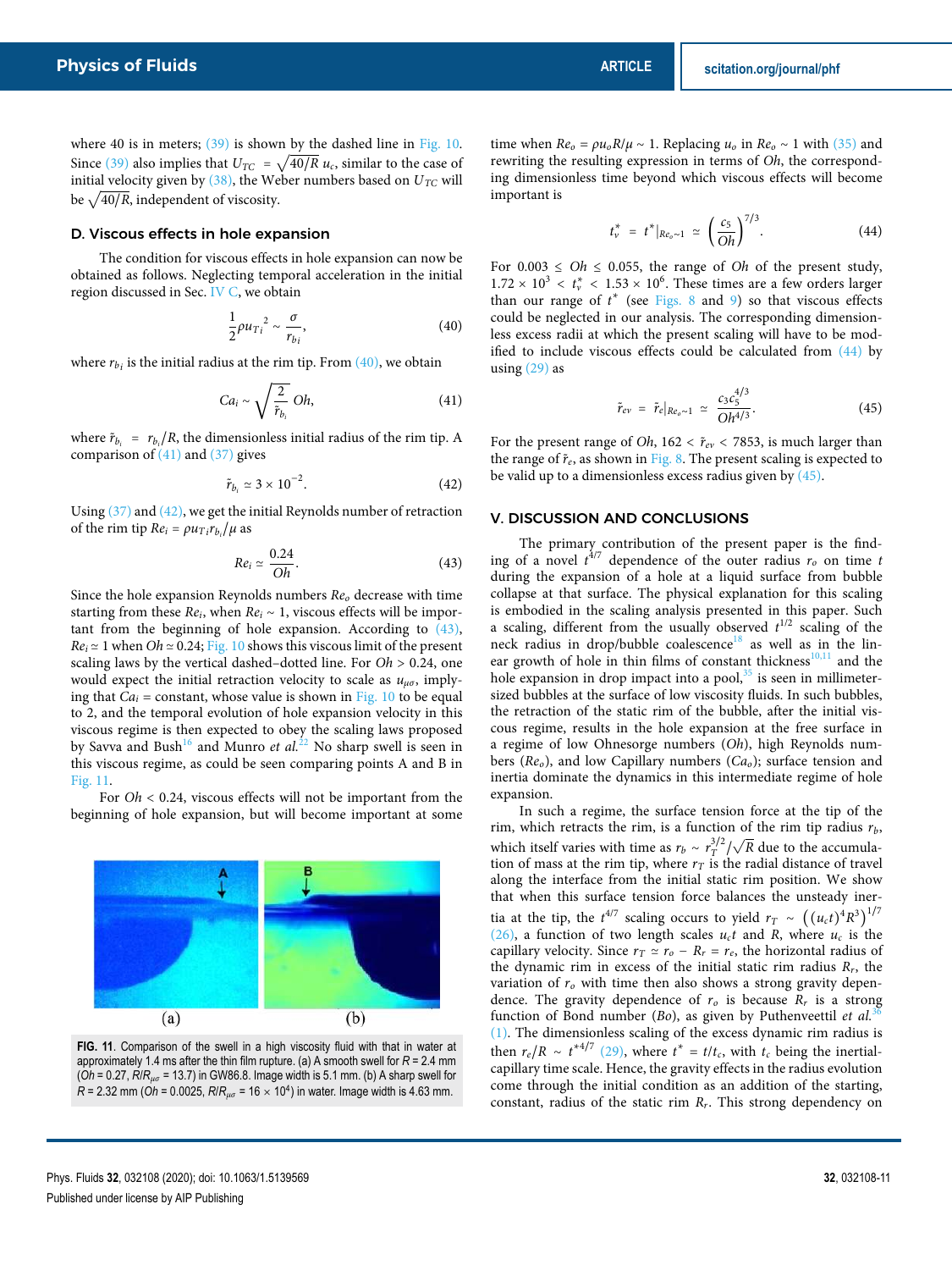where 40 is in meters;  $(39)$  is shown by the dashed line in Fig. 10. Since (39) also implies that  $U_{TC} = \sqrt{40/R} u_c$ , similar to the case of initial velocity given by  $(38)$ , the Weber numbers based on  $U_{TC}$  will be  $\sqrt{40/R}$ , independent of viscosity.

# D. Viscous effects in hole expansion

The condition for viscous effects in hole expansion can now be obtained as follows. Neglecting temporal acceleration in the initial region discussed in Sec. IV C, we obtain

$$
\frac{1}{2}\rho u_{Ti}^2 \sim \frac{\sigma}{r_{bi}},\tag{40}
$$

where  $r_{bi}$  is the initial radius at the rim tip. From  $(40)$ , we obtain

$$
Ca_i \sim \sqrt{\frac{2}{\tilde{r}_{b_i}}} \; Oh,
$$
\n(41)

where  $\tilde{r}_{b_i} = r_{b_i}/R$ , the dimensionless initial radius of the rim tip. A comparison of  $(41)$  and  $(37)$  gives

$$
\tilde{r}_{b_i} \simeq 3 \times 10^{-2}.\tag{42}
$$

Using (37) and (42), we get the initial Reynolds number of retraction of the rim tip  $Re_i = \rho u_{Ti} r_{b_i} / \mu$  as

$$
Re_i \simeq \frac{0.24}{Oh}.\tag{43}
$$

Since the hole expansion Reynolds numbers  $Re_0$  decrease with time starting from these  $Re_i$ , when  $Re_i \sim 1$ , viscous effects will be important from the beginning of hole expansion. According to  $(43)$ ,  $Re_i \approx 1$  when  $Oh \approx 0.24$ ; Fig. 10 shows this viscous limit of the present scaling laws by the vertical dashed–dotted line. For  $Oh > 0.24$ , one would expect the initial retraction velocity to scale as  $u_{\mu\sigma}$ , implying that  $Ca<sub>i</sub> = constant$ , whose value is shown in Fig. 10 to be equal to 2, and the temporal evolution of hole expansion velocity in this viscous regime is then expected to obey the scaling laws proposed by Savva and Bush<sup>16</sup> and Munro *et al.*<sup>22</sup> No sharp swell is seen in this viscous regime, as could be seen comparing points A and B in Fig. 11.

For  $Oh < 0.24$ , viscous effects will not be important from the beginning of hole expansion, but will become important at some



**FIG. 11**. Comparison of the swell in a high viscosity fluid with that in water at approximately 1.4 ms after the thin film rupture. (a) A smooth swell for *R* = 2.4 mm (*Oh* = 0.27, *R*/*Rμσ* = 13.7) in GW86.8. Image width is 5.1 mm. (b) A sharp swell for *<sup>R</sup>* = 2.32 mm (*Oh* = 0.0025, *<sup>R</sup>*/*Rμσ* = 16 <sup>×</sup> <sup>10</sup><sup>4</sup> ) in water. Image width is 4.63 mm.

time when  $Re_0 = \rho u_0 R/\mu \sim 1$ . Replacing  $u_0$  in  $Re_0 \sim 1$  with (35) and rewriting the resulting expression in terms of Oh, the corresponding dimensionless time beyond which viscous effects will become important is

$$
t_v^* = t^*|_{Re_0 \sim 1} \simeq \left(\frac{c_5}{Oh}\right)^{7/3}.
$$
 (44)

For  $0.003 \le Oh \le 0.055$ , the range of Oh of the present study,  $1.72 \times 10^3 < t_v^* < 1.53 \times 10^6$ . These times are a few orders larger than our range of  $t^*$  (see Figs. 8 and 9) so that viscous effects could be neglected in our analysis. The corresponding dimensionless excess radii at which the present scaling will have to be modified to include viscous effects could be calculated from (44) by using  $(29)$  as

$$
\tilde{r}_{ev} = \tilde{r}_e|_{Re_o \sim 1} \simeq \frac{c_3 c_5^{4/3}}{Oh^{4/3}}.
$$
\n(45)

For the present range of *Oh*,  $162 < \tilde{r}_{ev} < 7853$ , is much larger than the range of  $\tilde{r}_e$ , as shown in Fig. 8. The present scaling is expected to be valid up to a dimensionless excess radius given by (45).

#### V. DISCUSSION AND CONCLUSIONS

The primary contribution of the present paper is the finding of a novel  $t^{4/7}$  dependence of the outer radius  $r_o$  on time t during the expansion of a hole at a liquid surface from bubble collapse at that surface. The physical explanation for this scaling is embodied in the scaling analysis presented in this paper. Such a scaling, different from the usually observed  $t^{1/2}$  scaling of the neck radius in drop/bubble coalescence<sup>18</sup> as well as in the linear growth of hole in thin films of constant thickness $10,11$  and the hole expansion in drop impact into a pool, $35$  is seen in millimetersized bubbles at the surface of low viscosity fluids. In such bubbles, the retraction of the static rim of the bubble, after the initial viscous regime, results in the hole expansion at the free surface in a regime of low Ohnesorge numbers (Oh), high Reynolds numbers ( $Re<sub>o</sub>$ ), and low Capillary numbers ( $Ca<sub>o</sub>$ ); surface tension and inertia dominate the dynamics in this intermediate regime of hole expansion.

In such a regime, the surface tension force at the tip of the rim, which retracts the rim, is a function of the rim tip radius  $r_b$ , which itself varies with time as  $r_b \sim r_T^{3/2}/\sqrt{R}$  due to the accumulation of mass at the rim tip, where  $r<sub>T</sub>$  is the radial distance of travel along the interface from the initial static rim position. We show that when this surface tension force balances the unsteady inertia at the tip, the  $t^{4/7}$  scaling occurs to yield  $r_T \sim ((u_c t)^4 R^3)^{1/7}$ (26), a function of two length scales  $u_c t$  and R, where  $u_c$  is the capillary velocity. Since  $r_T \cong r_o - R_r = r_e$ , the horizontal radius of the dynamic rim in excess of the initial static rim radius  $R_r$ , the variation of  $r<sub>o</sub>$  with time then also shows a strong gravity dependence. The gravity dependence of  $r_o$  is because  $R_r$  is a strong function of Bond number (Bo), as given by Puthenveettil et al.<sup>3</sup> (1). The dimensionless scaling of the excess dynamic rim radius is then  $r_e/R \sim t^{*4/7}$  (29), where  $t^* = t/t_c$ , with  $t_c$  being the inertialcapillary time scale. Hence, the gravity effects in the radius evolution come through the initial condition as an addition of the starting, constant, radius of the static rim  $R_r$ . This strong dependency on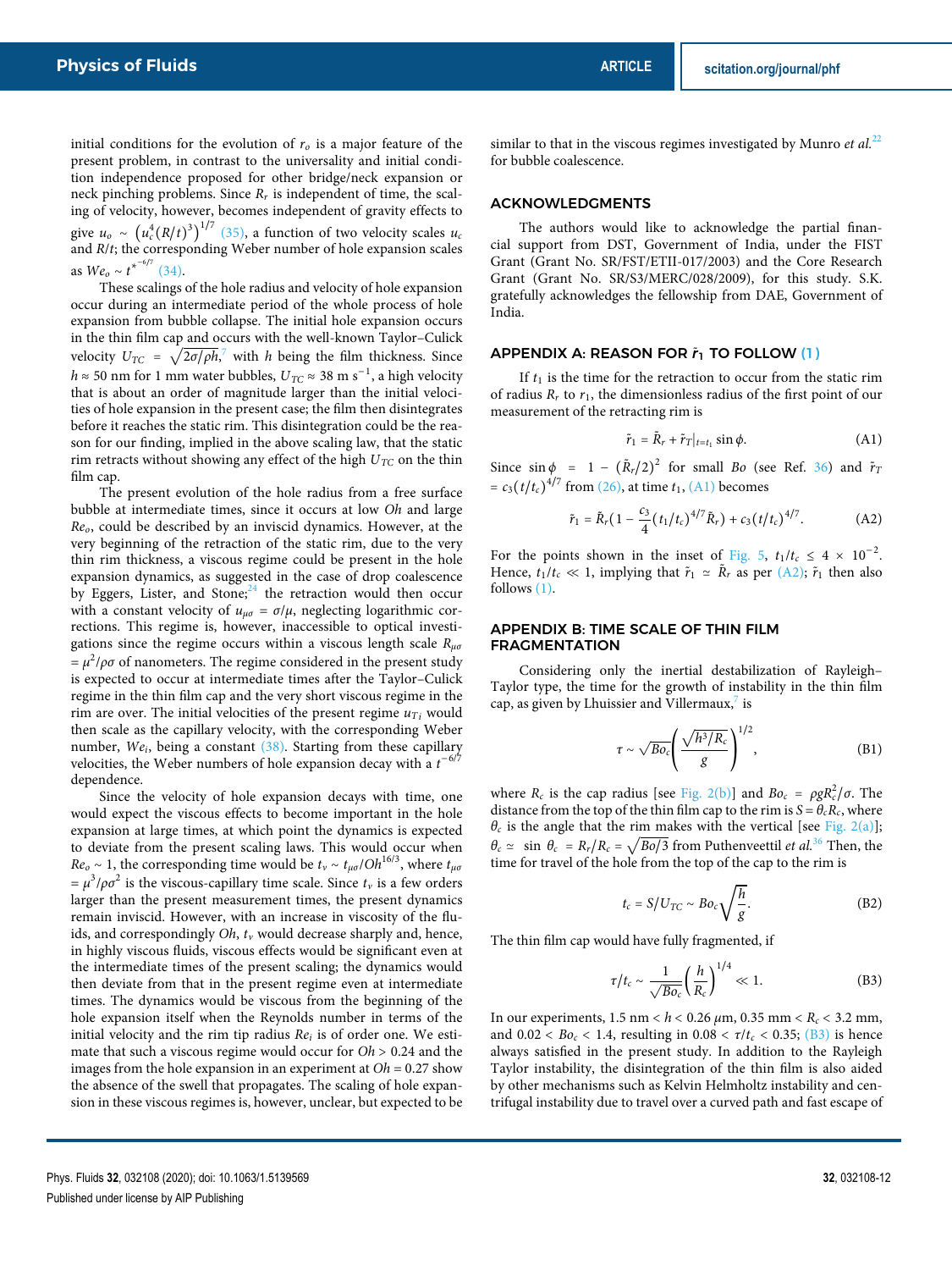initial conditions for the evolution of  $r<sub>o</sub>$  is a major feature of the present problem, in contrast to the universality and initial condition independence proposed for other bridge/neck expansion or neck pinching problems. Since  $R_r$  is independent of time, the scaling of velocity, however, becomes independent of gravity effects to give  $u_o \sim (u_c^4 (R/t)^3)^{17}$  (35), a function of two velocity scales  $u_c$  $\frac{4}{D}$ / $\frac{1}{3}$ )<sup>1/7</sup> and R/t; the corresponding Weber number of hole expansion scales as  $We_o \sim t^{*^{-6/7}}$  (34).

These scalings of the hole radius and velocity of hole expansion occur during an intermediate period of the whole process of hole expansion from bubble collapse. The initial hole expansion occurs in the thin film cap and occurs with the well-known Taylor–Culick velocity  $U_{TC} = \sqrt{2\sigma/\rho h}$ ,<sup>7</sup> with h being the film thickness. Since  $h \approx 50$  nm for 1 mm water bubbles,  $U_{TC} \approx 38$  m s<sup>−1</sup>, a high velocity that is about an order of magnitude larger than the initial velocities of hole expansion in the present case; the film then disintegrates before it reaches the static rim. This disintegration could be the reason for our finding, implied in the above scaling law, that the static rim retracts without showing any effect of the high  $U_{TC}$  on the thin film cap.

The present evolution of the hole radius from a free surface bubble at intermediate times, since it occurs at low Oh and large Reo, could be described by an inviscid dynamics. However, at the very beginning of the retraction of the static rim, due to the very thin rim thickness, a viscous regime could be present in the hole expansion dynamics, as suggested in the case of drop coalescence by Eggers, Lister, and Stone; $24$  the retraction would then occur with a constant velocity of  $u_{\mu\sigma} = \sigma/\mu$ , neglecting logarithmic corrections. This regime is, however, inaccessible to optical investigations since the regime occurs within a viscous length scale R*μσ*  $= \mu^2/\rho\sigma$  of nanometers. The regime considered in the present study is expected to occur at intermediate times after the Taylor–Culick regime in the thin film cap and the very short viscous regime in the rim are over. The initial velocities of the present regime  $u_{T_i}$  would then scale as the capillary velocity, with the corresponding Weber number,  $We<sub>i</sub>$ , being a constant  $(38)$ . Starting from these capillary velocities, the Weber numbers of hole expansion decay with a  $t^{-6/7}$ dependence.

Since the velocity of hole expansion decays with time, one would expect the viscous effects to become important in the hole expansion at large times, at which point the dynamics is expected to deviate from the present scaling laws. This would occur when  $Re_0 \sim 1$ , the corresponding time would be  $t_v \sim t_{\mu\sigma}/Oh^{16/3}$ , where  $t_{\mu\sigma}$  $= \mu^3/\rho \sigma^2$  is the viscous-capillary time scale. Since  $t_v$  is a few orders larger than the present measurement times, the present dynamics remain inviscid. However, with an increase in viscosity of the fluids, and correspondingly Oh, t*<sup>ν</sup>* would decrease sharply and, hence, in highly viscous fluids, viscous effects would be significant even at the intermediate times of the present scaling; the dynamics would then deviate from that in the present regime even at intermediate times. The dynamics would be viscous from the beginning of the hole expansion itself when the Reynolds number in terms of the initial velocity and the rim tip radius  $Re<sub>i</sub>$  is of order one. We estimate that such a viscous regime would occur for  $Oh > 0.24$  and the images from the hole expansion in an experiment at  $Oh = 0.27$  show the absence of the swell that propagates. The scaling of hole expansion in these viscous regimes is, however, unclear, but expected to be similar to that in the viscous regimes investigated by Munro *et al.*<sup>22</sup> for bubble coalescence.

### ACKNOWLEDGMENTS

The authors would like to acknowledge the partial financial support from DST, Government of India, under the FIST Grant (Grant No. SR/FST/ETII-017/2003) and the Core Research Grant (Grant No. SR/S3/MERC/028/2009), for this study. S.K. gratefully acknowledges the fellowship from DAE, Government of India.

#### APPENDIX A: REASON FOR  $\tilde{r}_1$  TO FOLLOW (1)

If  $t_1$  is the time for the retraction to occur from the static rim of radius  $R_r$  to  $r_1$ , the dimensionless radius of the first point of our measurement of the retracting rim is

$$
\tilde{r}_1 = \tilde{R}_r + \tilde{r}_T|_{t=t_1} \sin \phi. \tag{A1}
$$

Since  $\sin \phi = 1 - (\tilde{R}_r/2)^2$  for small *Bo* (see Ref. 36) and  $\tilde{r}_T$  $= c_3 (t/t_c)^{4/7}$  from (26), at time  $t_1$ , (A1) becomes

$$
\tilde{r}_1 = \tilde{R}_r \big( 1 - \frac{c_3}{4} \big( t_1 / t_c \big)^{4/7} \tilde{R}_r \big) + c_3 \big( t / t_c \big)^{4/7} . \tag{A2}
$$

For the points shown in the inset of Fig. 5,  $t_1/t_c \leq 4 \times 10^{-2}$ . Hence,  $t_1/t_c \ll 1$ , implying that  $\tilde{r}_1 \simeq \tilde{R}_r$  as per (A2);  $\tilde{r}_1$  then also follows (1).

# APPENDIX B: TIME SCALE OF THIN FILM FRAGMENTATION

Considering only the inertial destabilization of Rayleigh– Taylor type, the time for the growth of instability in the thin film cap, as given by Lhuissier and Villermaux, $^7$  is

$$
\tau \sim \sqrt{Bo_c} \left( \frac{\sqrt{h^3/R_c}}{g} \right)^{1/2},\tag{B1}
$$

where  $R_c$  is the cap radius [see Fig. 2(b)] and  $Bo_c = \rho g R_c^2 / \sigma$ . The distance from the top of the thin film cap to the rim is  $S = \theta_c R_c$ , where  $\theta_c$  is the angle that the rim makes with the vertical [see Fig. 2(a)];  $\theta_c \simeq \sin \theta_c = R_r/R_c = \sqrt{Bo/3}$  from Puthenveettil *et al.*<sup>36</sup> Then, the time for travel of the hole from the top of the cap to the rim is

$$
t_c = S/U_{TC} \sim B o_c \sqrt{\frac{h}{g}}.\tag{B2}
$$

The thin film cap would have fully fragmented, if

$$
\tau/t_c \sim \frac{1}{\sqrt{Bo_c}} \left(\frac{h}{R_c}\right)^{1/4} \ll 1.
$$
 (B3)

In our experiments, 1.5 nm < h < 0.26 *μ*m, 0.35 mm < R<sup>c</sup> < 3.2 mm, and  $0.02 < Bo_c < 1.4$ , resulting in  $0.08 < \tau/t_c < 0.35$ ; (B3) is hence always satisfied in the present study. In addition to the Rayleigh Taylor instability, the disintegration of the thin film is also aided by other mechanisms such as Kelvin Helmholtz instability and centrifugal instability due to travel over a curved path and fast escape of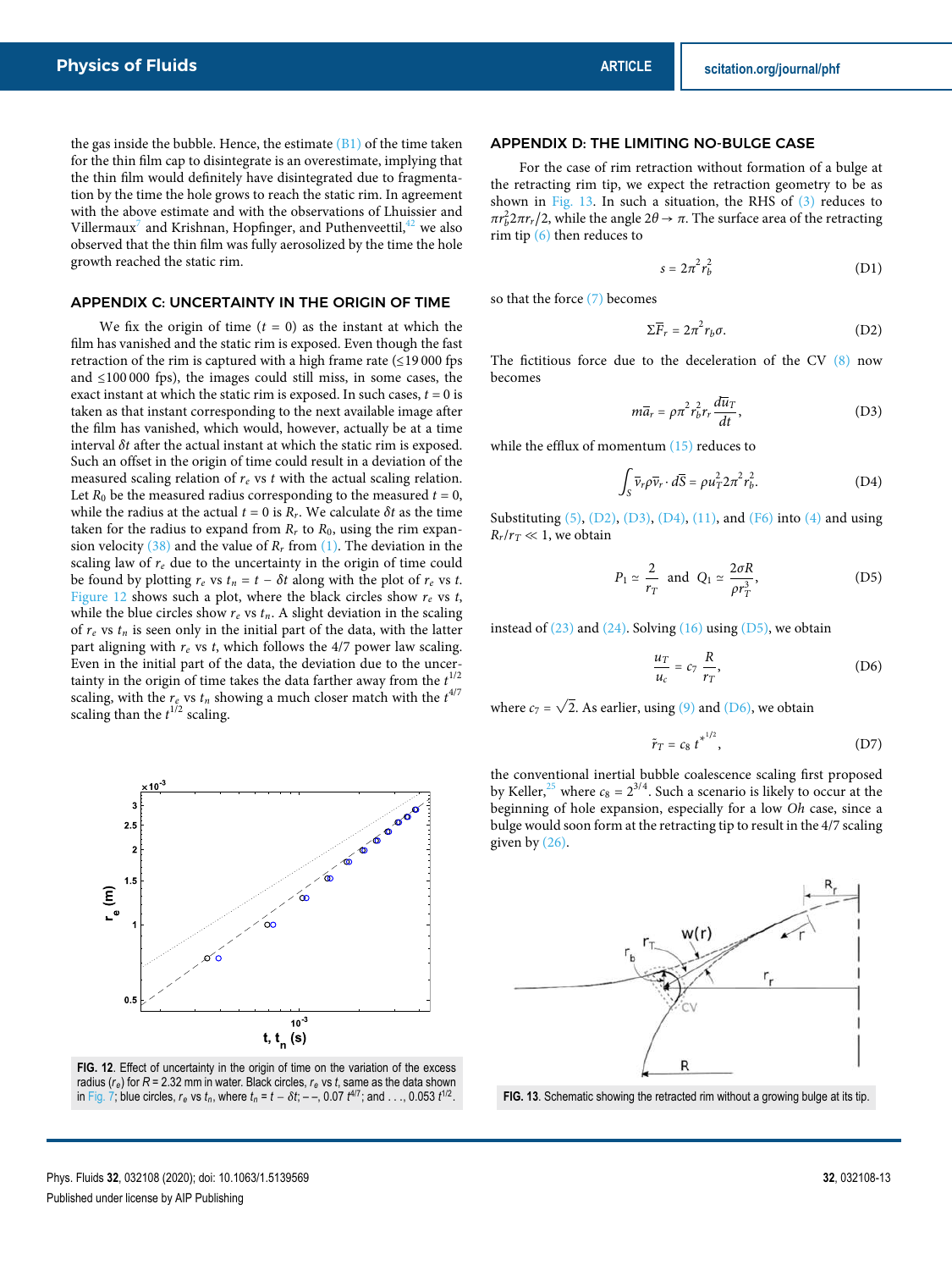the gas inside the bubble. Hence, the estimate  $(B1)$  of the time taken for the thin film cap to disintegrate is an overestimate, implying that the thin film would definitely have disintegrated due to fragmentation by the time the hole grows to reach the static rim. In agreement with the above estimate and with the observations of Lhuissier and Villermaux $^7$  and Krishnan, Hopfinger, and Puthenveettil, $^{42}$  we also observed that the thin film was fully aerosolized by the time the hole growth reached the static rim.

# APPENDIX C: UNCERTAINTY IN THE ORIGIN OF TIME

We fix the origin of time  $(t = 0)$  as the instant at which the film has vanished and the static rim is exposed. Even though the fast retraction of the rim is captured with a high frame rate  $(\leq 19000$  fps and ≤100 000 fps), the images could still miss, in some cases, the exact instant at which the static rim is exposed. In such cases,  $t = 0$  is taken as that instant corresponding to the next available image after the film has vanished, which would, however, actually be at a time interval *δ*t after the actual instant at which the static rim is exposed. Such an offset in the origin of time could result in a deviation of the measured scaling relation of  $r_e$  vs t with the actual scaling relation. Let  $R_0$  be the measured radius corresponding to the measured  $t = 0$ , while the radius at the actual  $t = 0$  is  $R_r$ . We calculate  $\delta t$  as the time taken for the radius to expand from  $R_r$  to  $R_0$ , using the rim expansion velocity (38) and the value of  $R_r$  from (1). The deviation in the scaling law of  $r_e$  due to the uncertainty in the origin of time could be found by plotting  $r_e$  vs  $t_n = t - \delta t$  along with the plot of  $r_e$  vs t. Figure 12 shows such a plot, where the black circles show  $r_e$  vs t, while the blue circles show  $r_e$  vs  $t_n$ . A slight deviation in the scaling of  $r_e$  vs  $t_n$  is seen only in the initial part of the data, with the latter part aligning with  $r_e$  vs t, which follows the 4/7 power law scaling. Even in the initial part of the data, the deviation due to the uncertainty in the origin of time takes the data farther away from the  $t^{1/2}$ scaling, with the  $r_e$  vs  $t_n$  showing a much closer match with the  $t^{4/7}$ scaling than the  $t^{1/2}$  scaling.



**FIG. 12**. Effect of uncertainty in the origin of time on the variation of the excess radius (*re*) for *R* = 2.32 mm in water. Black circles, *r<sup>e</sup>* vs *t*, same as the data shown in Fig. 7; blue circles,  $r_e$  vs  $t_n$ , where  $t_n = t - \delta t$ ; --, 0.07  $t^{4/7}$ ; and ..., 0.053  $t^{1/2}$ .

### APPENDIX D: THE LIMITING NO-BULGE CASE

For the case of rim retraction without formation of a bulge at the retracting rim tip, we expect the retraction geometry to be as shown in Fig. 13. In such a situation, the RHS of (3) reduces to *π* $r_b^2$ 2*π*r<sub>r</sub>/2, while the angle 2*θ* → *π*. The surface area of the retracting rim tip (6) then reduces to

$$
s = 2\pi^2 r_b^2 \tag{D1}
$$

so that the force (7) becomes

$$
\Sigma \overline{F}_r = 2\pi^2 r_b \sigma. \tag{D2}
$$

The fictitious force due to the deceleration of the CV (8) now becomes

$$
m\overline{a}_r = \rho \pi^2 r_b^2 r_r \frac{d\overline{u}_T}{dt},
$$
 (D3)

while the efflux of momentum  $(15)$  reduces to

$$
\int_{S} \overline{v}_r \rho \overline{v}_r \cdot d\overline{S} = \rho u_T^2 2\pi^2 r_b^2. \tag{D4}
$$

Substituting (5), (D2), (D3), (D4), (11), and (F6) into (4) and using  $R_r/r_T \ll 1$ , we obtain

$$
P_1 \simeq \frac{2}{r_T} \text{ and } Q_1 \simeq \frac{2\sigma R}{\rho r_T^3}, \qquad (D5)
$$

instead of  $(23)$  and  $(24)$ . Solving  $(16)$  using  $(D5)$ , we obtain

$$
\frac{u_T}{u_c} = c_7 \frac{R}{r_T},\tag{D6}
$$

where  $c_7 = \sqrt{2}$ . As earlier, using (9) and (D6), we obtain

$$
\tilde{r}_T = c_8 t^{*^{1/2}},\tag{D7}
$$

the conventional inertial bubble coalescence scaling first proposed by Keller,<sup>25</sup> where  $c_8 = 2^{3/4}$ . Such a scenario is likely to occur at the beginning of hole expansion, especially for a low Oh case, since a bulge would soon form at the retracting tip to result in the 4/7 scaling given by (26).



**FIG. 13**. Schematic showing the retracted rim without a growing bulge at its tip.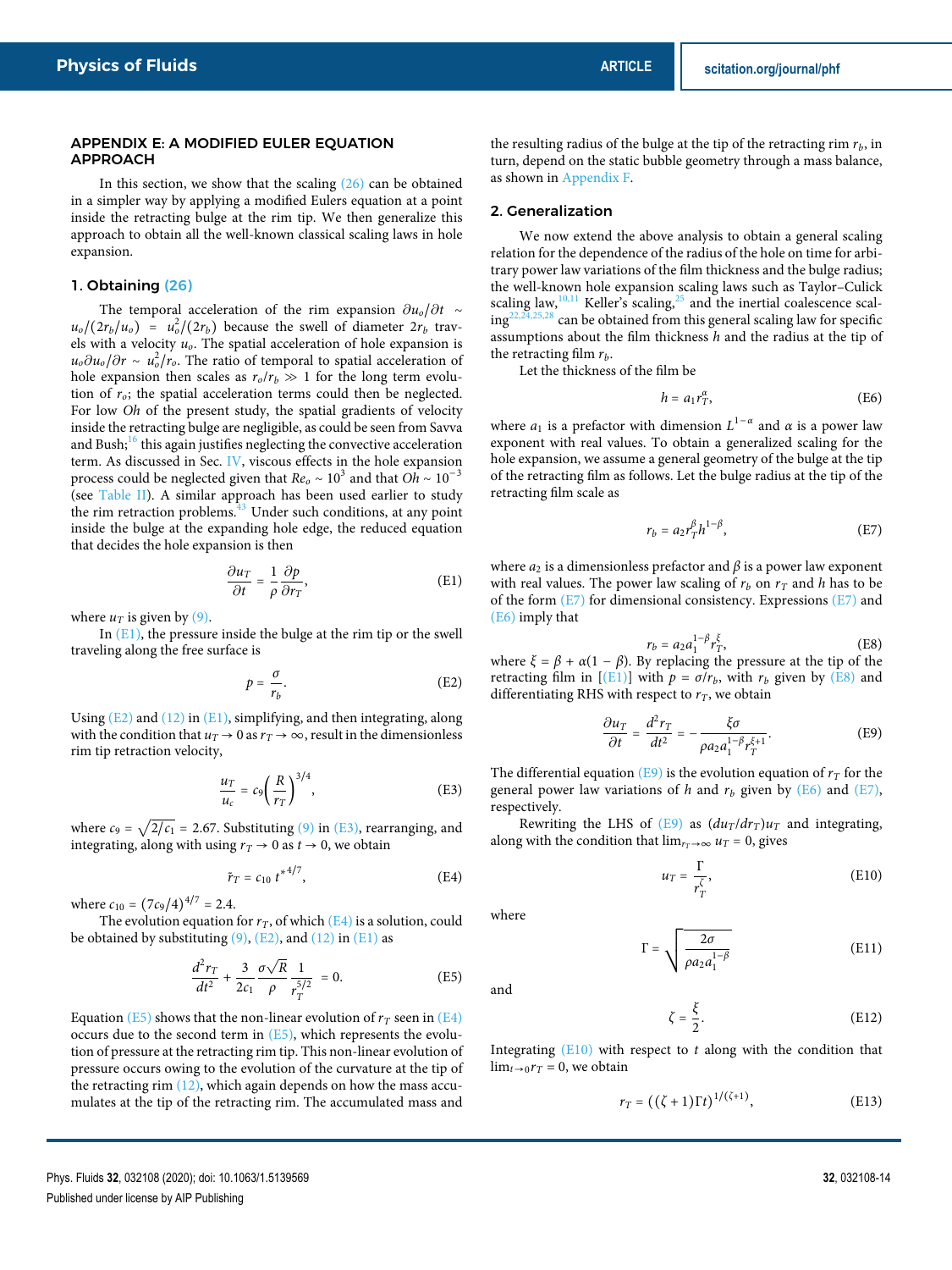#### APPENDIX E: A MODIFIED EULER EQUATION APPROACH

In this section, we show that the scaling  $(26)$  can be obtained in a simpler way by applying a modified Eulers equation at a point inside the retracting bulge at the rim tip. We then generalize this approach to obtain all the well-known classical scaling laws in hole expansion.

#### 1. Obtaining (26)

The temporal acceleration of the rim expansion  $\partial u_0/\partial t \sim$  $u_o/(2r_b/u_o) = u_o^2/(2r_b)$  because the swell of diameter  $2r_b$  travels with a velocity  $u<sub>o</sub>$ . The spatial acceleration of hole expansion is  $u_0 \partial u_0 / \partial r \sim u_0^2 / r_0$ . The ratio of temporal to spatial acceleration of hole expansion then scales as  $r_o/r_b \gg 1$  for the long term evolution of  $r_o$ ; the spatial acceleration terms could then be neglected. For low Oh of the present study, the spatial gradients of velocity inside the retracting bulge are negligible, as could be seen from Savva and Bush; $^{16}$  this again justifies neglecting the convective acceleration term. As discussed in Sec. IV, viscous effects in the hole expansion process could be neglected given that  $Re_0 \sim 10^3$  and that  $Oh \sim 10^{-3}$ (see Table II). A similar approach has been used earlier to study the rim retraction problems. $43$  Under such conditions, at any point inside the bulge at the expanding hole edge, the reduced equation that decides the hole expansion is then

$$
\frac{\partial u_T}{\partial t} = \frac{1}{\rho} \frac{\partial p}{\partial r_T},\tag{E1}
$$

where  $u_T$  is given by (9).

In  $(E1)$ , the pressure inside the bulge at the rim tip or the swell traveling along the free surface is

$$
p = \frac{\sigma}{r_b}.\tag{E2}
$$

Using  $(E2)$  and  $(12)$  in  $(E1)$ , simplifying, and then integrating, along with the condition that  $u_T \to 0$  as  $r_T \to \infty$ , result in the dimensionless rim tip retraction velocity,

$$
\frac{u_T}{u_c} = c_9 \left(\frac{R}{r_T}\right)^{3/4},\tag{E3}
$$

where  $c_9 = \sqrt{2/c_1} = 2.67$ . Substituting (9) in (E3), rearranging, and integrating, along with using  $r_T \rightarrow 0$  as  $t \rightarrow 0$ , we obtain

$$
\tilde{r}_T = c_{10} t^{*4/7}, \tag{E4}
$$

where  $c_{10} = (7c_9/4)^{4/7} = 2.4$ .

The evolution equation for  $r<sub>T</sub>$ , of which (E4) is a solution, could be obtained by substituting  $(9)$ ,  $(E2)$ , and  $(12)$  in  $(E1)$  as

$$
\frac{d^2r_T}{dt^2} + \frac{3}{2c_1} \frac{\sigma \sqrt{R}}{\rho} \frac{1}{r_T^{5/2}} = 0.
$$
 (E5)

Equation (E5) shows that the non-linear evolution of  $r<sub>T</sub>$  seen in (E4) occurs due to the second term in  $(E5)$ , which represents the evolution of pressure at the retracting rim tip. This non-linear evolution of pressure occurs owing to the evolution of the curvature at the tip of the retracting rim (12), which again depends on how the mass accumulates at the tip of the retracting rim. The accumulated mass and

the resulting radius of the bulge at the tip of the retracting rim  $r_b$ , in turn, depend on the static bubble geometry through a mass balance, as shown in Appendix F.

## 2. Generalization

We now extend the above analysis to obtain a general scaling relation for the dependence of the radius of the hole on time for arbitrary power law variations of the film thickness and the bulge radius; the well-known hole expansion scaling laws such as Taylor–Culick scaling law, $10,11$  Keller's scaling, $25$  and the inertial coalescence scal $ing^{22,24,25,28}$  can be obtained from this general scaling law for specific assumptions about the film thickness  $h$  and the radius at the tip of the retracting film  $r_b$ .

Let the thickness of the film be

$$
h = a_1 r_T^{\alpha}, \tag{E6}
$$

where  $a_1$  is a prefactor with dimension  $L^{1-\alpha}$  and  $\alpha$  is a power law exponent with real values. To obtain a generalized scaling for the hole expansion, we assume a general geometry of the bulge at the tip of the retracting film as follows. Let the bulge radius at the tip of the retracting film scale as

$$
r_b = a_2 r_T^{\beta} h^{1-\beta},\tag{E7}
$$

where  $a_2$  is a dimensionless prefactor and  $\beta$  is a power law exponent with real values. The power law scaling of  $r_b$  on  $r<sub>T</sub>$  and h has to be of the form  $(E7)$  for dimensional consistency. Expressions  $(E7)$  and (E6) imply that

$$
r_b = a_2 a_1^{1-\beta} r_T^{\xi}, \tag{E8}
$$

 $r_b = a_2 a_1^{-p} r_T^5$ , (E8)<br>where  $\xi = \beta + \alpha (1 - \beta)$ . By replacing the pressure at the tip of the retracting film in  $[(E1)]$  with  $p = \sigma/r_b$ , with  $r_b$  given by  $(E8)$  and differentiating RHS with respect to  $r<sub>T</sub>$ , we obtain

$$
\frac{\partial u_T}{\partial t} = \frac{d^2 r_T}{dt^2} = -\frac{\xi \sigma}{\rho a_2 a_1^{1-\beta} r_T^{\xi+1}}.
$$
 (E9)

The differential equation (E9) is the evolution equation of  $r<sub>T</sub>$  for the general power law variations of h and  $r_b$  given by (E6) and (E7), respectively.

Rewriting the LHS of (E9) as  $(du_T/dr_T)u_T$  and integrating, along with the condition that  $\lim_{r_T \to \infty} u_T = 0$ , gives

$$
u_T = \frac{\Gamma}{r_T^{\zeta}},\tag{E10}
$$

where

$$
\Gamma = \sqrt{\frac{2\sigma}{\rho a_2 a_1^{1-\beta}}}
$$
 (E11)

and

$$
\zeta = \frac{\xi}{2}.\tag{E12}
$$

Integrating  $(E10)$  with respect to t along with the condition that  $\lim_{t\to 0} r_T = 0$ , we obtain

$$
r_T = ((\zeta + 1)\Gamma t)^{1/(\zeta + 1)},\tag{E13}
$$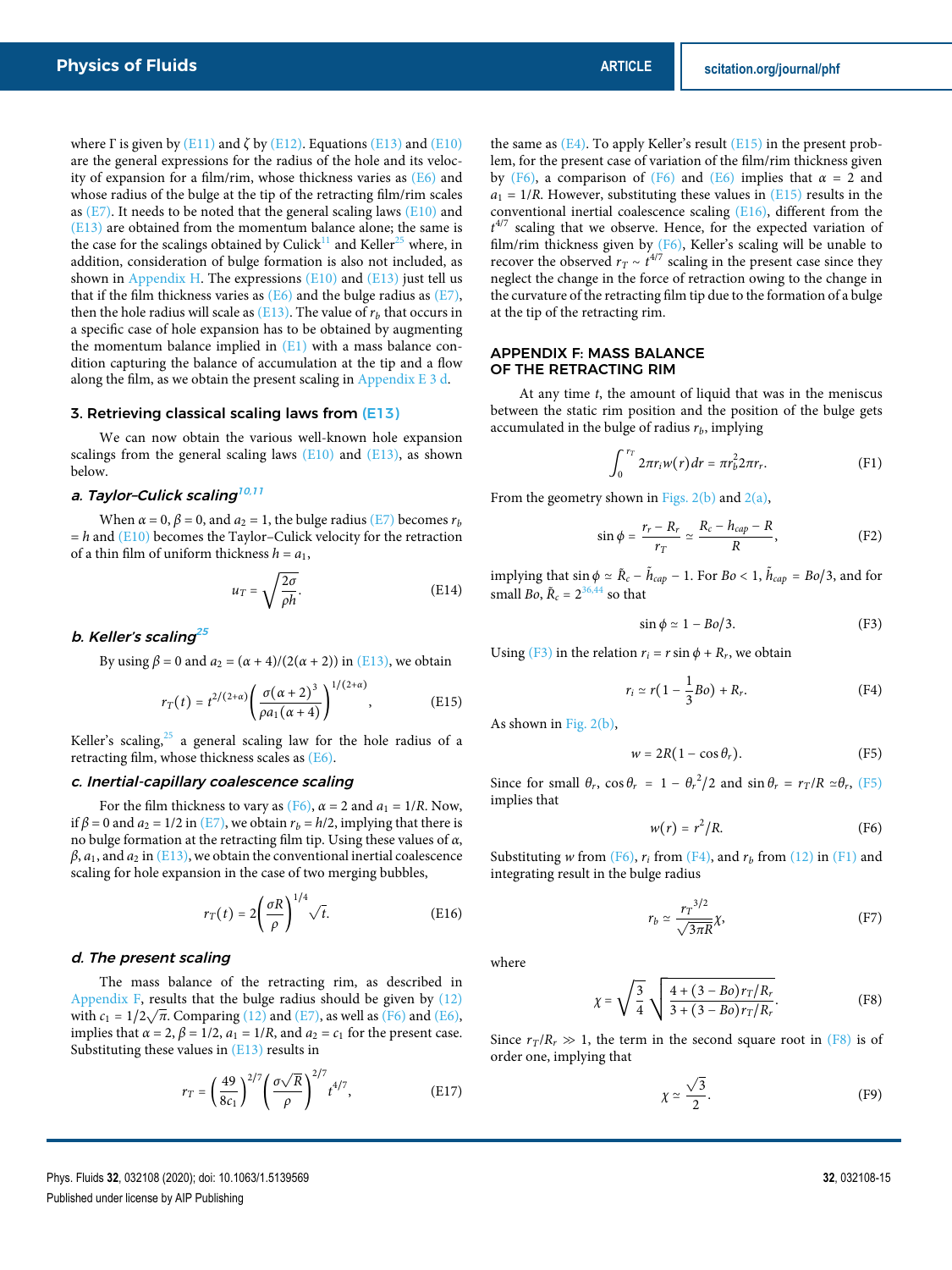where  $\Gamma$  is given by (E11) and  $\zeta$  by (E12). Equations (E13) and (E10) are the general expressions for the radius of the hole and its velocity of expansion for a film/rim, whose thickness varies as (E6) and whose radius of the bulge at the tip of the retracting film/rim scales as  $(E7)$ . It needs to be noted that the general scaling laws  $(E10)$  and (E13) are obtained from the momentum balance alone; the same is the case for the scalings obtained by Culick<sup>11</sup> and Keller<sup>25</sup> where, in addition, consideration of bulge formation is also not included, as shown in Appendix H. The expressions  $(E10)$  and  $(E13)$  just tell us that if the film thickness varies as  $(E6)$  and the bulge radius as  $(E7)$ , then the hole radius will scale as  $(E13)$ . The value of  $r_b$  that occurs in a specific case of hole expansion has to be obtained by augmenting the momentum balance implied in  $(E1)$  with a mass balance condition capturing the balance of accumulation at the tip and a flow

#### 3. Retrieving classical scaling laws from (E13)

We can now obtain the various well-known hole expansion scalings from the general scaling laws  $(E10)$  and  $(E13)$ , as shown below.

along the film, as we obtain the present scaling in Appendix E 3 d.

# a. Taylor-Culick scaling<sup>10,11</sup>

When  $\alpha = 0$ ,  $\beta = 0$ , and  $a_2 = 1$ , the bulge radius (E7) becomes  $r_b$  $= h$  and (E10) becomes the Taylor–Culick velocity for the retraction of a thin film of uniform thickness  $h = a_1$ ,

$$
u_T = \sqrt{\frac{2\sigma}{\rho h}}.\tag{E14}
$$

1/(2+*α*)

#### b. Keller's scaling<sup>25</sup>

By using  $\beta = 0$  and  $a_2 = (\alpha + 4)/(2(\alpha + 2))$  in (E13), we obtain

$$
r_T(t) = t^{2/(2+\alpha)} \left( \frac{\sigma(\alpha+2)^3}{\rho a_1(\alpha+4)} \right)^{1/(2+\alpha)}, \tag{E15}
$$

Keller's scaling, $25$  a general scaling law for the hole radius of a retracting film, whose thickness scales as (E6).

#### c. Inertial-capillary coalescence scaling

For the film thickness to vary as (F6),  $\alpha = 2$  and  $a_1 = 1/R$ . Now, if  $\beta$  = 0 and  $a_2$  = 1/2 in (E7), we obtain  $r_b$  = h/2, implying that there is no bulge formation at the retracting film tip. Using these values of *α*,  $\beta$ ,  $a_1$ , and  $a_2$  in (E13), we obtain the conventional inertial coalescence scaling for hole expansion in the case of two merging bubbles,

$$
r_T(t) = 2\left(\frac{\sigma R}{\rho}\right)^{1/4} \sqrt{t}.\tag{E16}
$$

# d. The present scaling

The mass balance of the retracting rim, as described in Appendix F, results that the bulge radius should be given by (12) with  $c_1 = 1/2\sqrt{\pi}$ . Comparing (12) and (E7), as well as (F6) and (E6), implies that  $\alpha = 2$ ,  $\beta = 1/2$ ,  $a_1 = 1/R$ , and  $a_2 = c_1$  for the present case. Substituting these values in (E13) results in

$$
r_T = \left(\frac{49}{8c_1}\right)^{2/7} \left(\frac{\sigma\sqrt{R}}{\rho}\right)^{2/7} t^{4/7},\tag{E17}
$$

the same as  $(E4)$ . To apply Keller's result  $(E15)$  in the present problem, for the present case of variation of the film/rim thickness given by (F6), a comparison of (F6) and (E6) implies that  $\alpha = 2$  and  $a_1 = 1/R$ . However, substituting these values in  $(E15)$  results in the conventional inertial coalescence scaling (E16), different from the  $t^{4/7}$  scaling that we observe. Hence, for the expected variation of film/rim thickness given by  $(F6)$ , Keller's scaling will be unable to recover the observed  $r_T \sim t^{4/7}$  scaling in the present case since they neglect the change in the force of retraction owing to the change in the curvature of the retracting film tip due to the formation of a bulge at the tip of the retracting rim.

#### APPENDIX F: MASS BALANCE OF THE RETRACTING RIM

At any time  $t$ , the amount of liquid that was in the meniscus between the static rim position and the position of the bulge gets accumulated in the bulge of radius  $r_b$ , implying

$$
\int_0^{r_T} 2\pi r_i w(r) dr = \pi r_b^2 2\pi r_r. \tag{F1}
$$

From the geometry shown in Figs.  $2(b)$  and  $2(a)$ ,

$$
\sin \phi = \frac{r_r - R_r}{r_T} \simeq \frac{R_c - h_{cap} - R}{R}, \tag{F2}
$$

implying that  $\sin \phi \simeq \tilde{R}_c - \tilde{h}_{cap} - 1$ . For  $Bo < 1$ ,  $\tilde{h}_{cap} = Bo/3$ , and for small *Bo*,  $\tilde{R}_c = 2^{36,44}$  so that

$$
\sin \phi \simeq 1 - Bo/3. \tag{F3}
$$

Using (F3) in the relation  $r_i = r \sin \phi + R_r$ , we obtain

$$
r_i \simeq r\left(1 - \frac{1}{3}Bo\right) + R_r. \tag{F4}
$$

As shown in Fig. 2(b),

$$
w = 2R(1 - \cos \theta_r). \tag{F5}
$$

Since for small  $\theta_r$ ,  $\cos \theta_r = 1 - \theta_r^2/2$  and  $\sin \theta_r = r_T/R \approx \theta_r$ , (F5) implies that

$$
w(r) = r^2/R.
$$
 (F6)

Substituting w from  $(F6)$ ,  $r_i$  from  $(F4)$ , and  $r_b$  from  $(12)$  in  $(F1)$  and integrating result in the bulge radius

$$
r_b \simeq \frac{r_T^{3/2}}{\sqrt{3\pi R}} \chi,\tag{F7}
$$

where

$$
\chi = \sqrt{\frac{3}{4}} \sqrt{\frac{4 + (3 - Bo)r_T/R_r}{3 + (3 - Bo)r_T/R_r}}.
$$
 (F8)

Since  $r_T/R_r \gg 1$ , the term in the second square root in (F8) is of order one, implying that

$$
\chi \simeq \frac{\sqrt{3}}{2}.
$$
 (F9)

Phys. Fluids **32**, 032108 (2020); doi: 10.1063/1.5139569 **32**, 032108-15 Published under license by AIP Publishing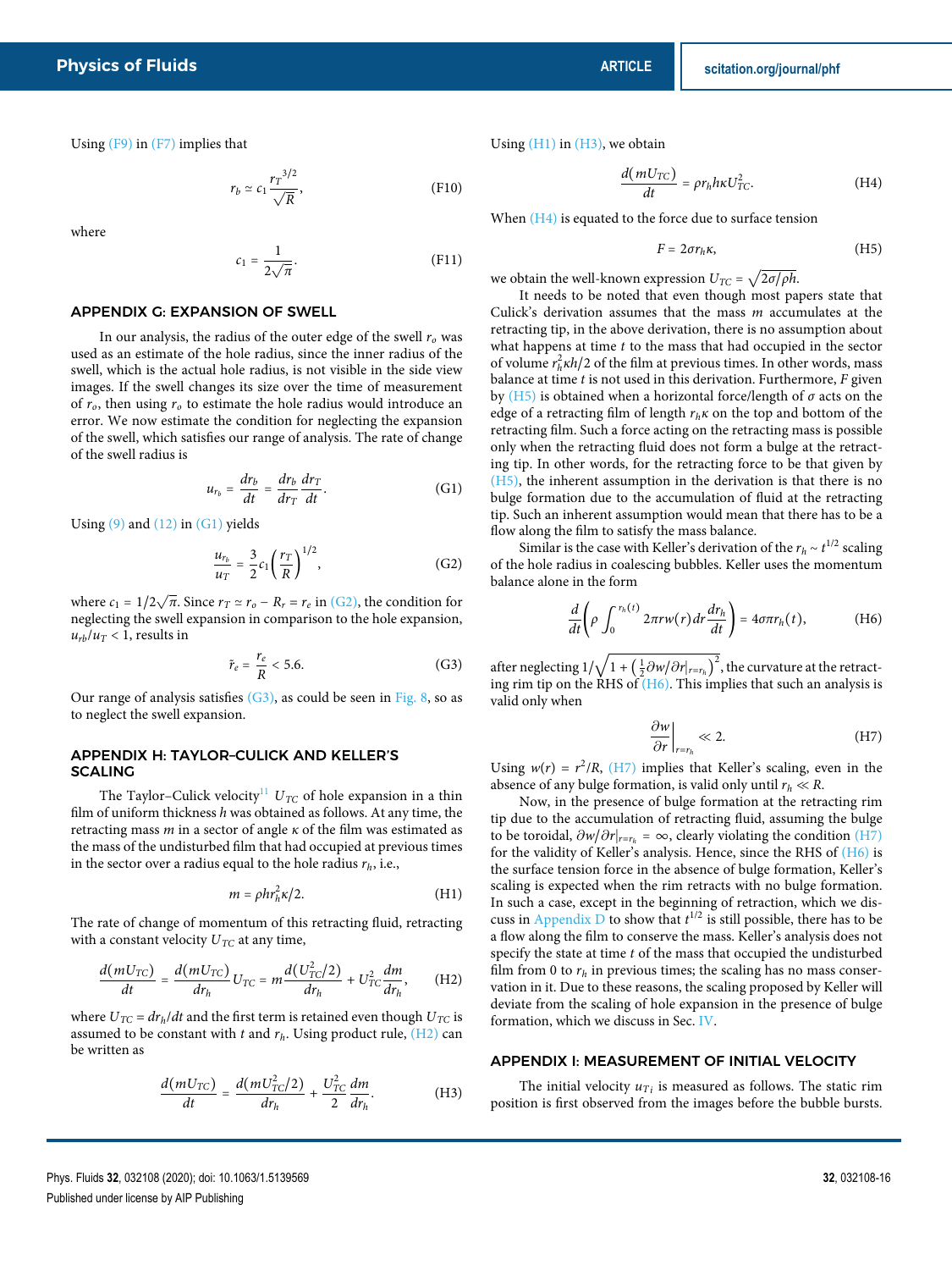Using (F9) in (F7) implies that

$$
r_b \simeq c_1 \frac{r_T^{3/2}}{\sqrt{R}},\tag{F10}
$$

where

$$
c_1 = \frac{1}{2\sqrt{\pi}}.\tag{F11}
$$

#### APPENDIX G: EXPANSION OF SWELL

In our analysis, the radius of the outer edge of the swell  $r<sub>o</sub>$  was used as an estimate of the hole radius, since the inner radius of the swell, which is the actual hole radius, is not visible in the side view images. If the swell changes its size over the time of measurement of  $r<sub>o</sub>$ , then using  $r<sub>o</sub>$  to estimate the hole radius would introduce an error. We now estimate the condition for neglecting the expansion of the swell, which satisfies our range of analysis. The rate of change of the swell radius is

$$
u_{r_b} = \frac{dr_b}{dt} = \frac{dr_b}{dr_T}\frac{dr_T}{dt}.
$$
 (G1)

Using  $(9)$  and  $(12)$  in  $(G1)$  yields

$$
\frac{u_{r_b}}{u_T} = \frac{3}{2} c_1 \left(\frac{r_T}{R}\right)^{1/2},
$$
 (G2)

where  $c_1 = 1/2\sqrt{\pi}$ . Since  $r_T \simeq r_o - R_r = r_e$  in (G2), the condition for neglecting the swell expansion in comparison to the hole expansion,  $u_{rb}/u_T < 1$ , results in

$$
\tilde{r}_e = \frac{r_e}{R} < 5.6. \tag{G3}
$$

Our range of analysis satisfies  $(G3)$ , as could be seen in Fig. 8, so as to neglect the swell expansion.

#### APPENDIX H: TAYLOR–CULICK AND KELLER'S **SCALING**

The Taylor–Culick velocity<sup>11</sup>  $U_{TC}$  of hole expansion in a thin film of uniform thickness  $h$  was obtained as follows. At any time, the retracting mass m in a sector of angle *κ* of the film was estimated as the mass of the undisturbed film that had occupied at previous times in the sector over a radius equal to the hole radius  $r_h$ , i.e.,

$$
m = \rho h r_h^2 \kappa / 2. \tag{H1}
$$

The rate of change of momentum of this retracting fluid, retracting with a constant velocity  $U_{TC}$  at any time,

$$
\frac{d(mU_{TC})}{dt} = \frac{d(mU_{TC})}{dr_h}U_{TC} = m\frac{d(U_{TC}^2/2)}{dr_h} + U_{TC}^2\frac{dm}{dr_h},\qquad\text{(H2)}
$$

where  $U_{TC} = dr_h/dt$  and the first term is retained even though  $U_{TC}$  is assumed to be constant with t and  $r_h$ . Using product rule,  $(H2)$  can be written as

$$
\frac{d(mU_{TC})}{dt} = \frac{d(mU_{TC}^2/2)}{dr_h} + \frac{U_{TC}^2}{2}\frac{dm}{dr_h}.
$$
 (H3)

Using  $(H1)$  in  $(H3)$ , we obtain

$$
\frac{d(mU_{TC})}{dt} = \rho r_h h \kappa U_{TC}^2.
$$
 (H4)

When  $(H4)$  is equated to the force due to surface tension

$$
F = 2\sigma r_h \kappa, \tag{H5}
$$

we obtain the well-known expression  $U_{TC} = \sqrt{2\sigma/\rho h}$ .

It needs to be noted that even though most papers state that Culick's derivation assumes that the mass  $m$  accumulates at the retracting tip, in the above derivation, there is no assumption about what happens at time  $t$  to the mass that had occupied in the sector of volume  $r_h^2 \kappa h/2$  of the film at previous times. In other words, mass balance at time  $t$  is not used in this derivation. Furthermore,  $F$  given by (H5) is obtained when a horizontal force/length of *σ* acts on the edge of a retracting film of length  $r_h \kappa$  on the top and bottom of the retracting film. Such a force acting on the retracting mass is possible only when the retracting fluid does not form a bulge at the retracting tip. In other words, for the retracting force to be that given by (H5), the inherent assumption in the derivation is that there is no bulge formation due to the accumulation of fluid at the retracting tip. Such an inherent assumption would mean that there has to be a flow along the film to satisfy the mass balance.

Similar is the case with Keller's derivation of the  $r_h \sim t^{1/2}$  scaling of the hole radius in coalescing bubbles. Keller uses the momentum balance alone in the form

$$
\frac{d}{dt}\left(\rho \int_0^{r_h(t)} 2\pi r w(r) dr \frac{dr_h}{dt}\right) = 4\sigma \pi r_h(t),\tag{H6}
$$

after neglecting  $1/\sqrt{1+\left(\frac{1}{2}\frac{\partial w}{\partial r}\right)_{r=r_h}\right)^2}$ , the curvature at the retracting rim tip on the RHS of  $(H6)$ . This implies that such an analysis is valid only when

$$
\left. \frac{\partial w}{\partial r} \right|_{r=r_h} \ll 2. \tag{H7}
$$

Using  $w(r) = r^2/R$ , (H7) implies that Keller's scaling, even in the absence of any bulge formation, is valid only until  $r_h \ll R$ .

Now, in the presence of bulge formation at the retracting rim tip due to the accumulation of retracting fluid, assuming the bulge to be toroidal,  $\partial w/\partial r|_{r=r_h} = \infty$ , clearly violating the condition (H7) for the validity of Keller's analysis. Hence, since the RHS of  $(H6)$  is the surface tension force in the absence of bulge formation, Keller's scaling is expected when the rim retracts with no bulge formation. In such a case, except in the beginning of retraction, which we discuss in Appendix D to show that  $t^{1/2}$  is still possible, there has to be a flow along the film to conserve the mass. Keller's analysis does not specify the state at time  $t$  of the mass that occupied the undisturbed film from 0 to  $r_h$  in previous times; the scaling has no mass conservation in it. Due to these reasons, the scaling proposed by Keller will deviate from the scaling of hole expansion in the presence of bulge formation, which we discuss in Sec. IV.

#### APPENDIX I: MEASUREMENT OF INITIAL VELOCITY

The initial velocity  $u_{T_i}$  is measured as follows. The static rim position is first observed from the images before the bubble bursts.

Phys. Fluids **32**, 032108 (2020); doi: 10.1063/1.5139569 **32**, 032108-16 Published under license by AIP Publishing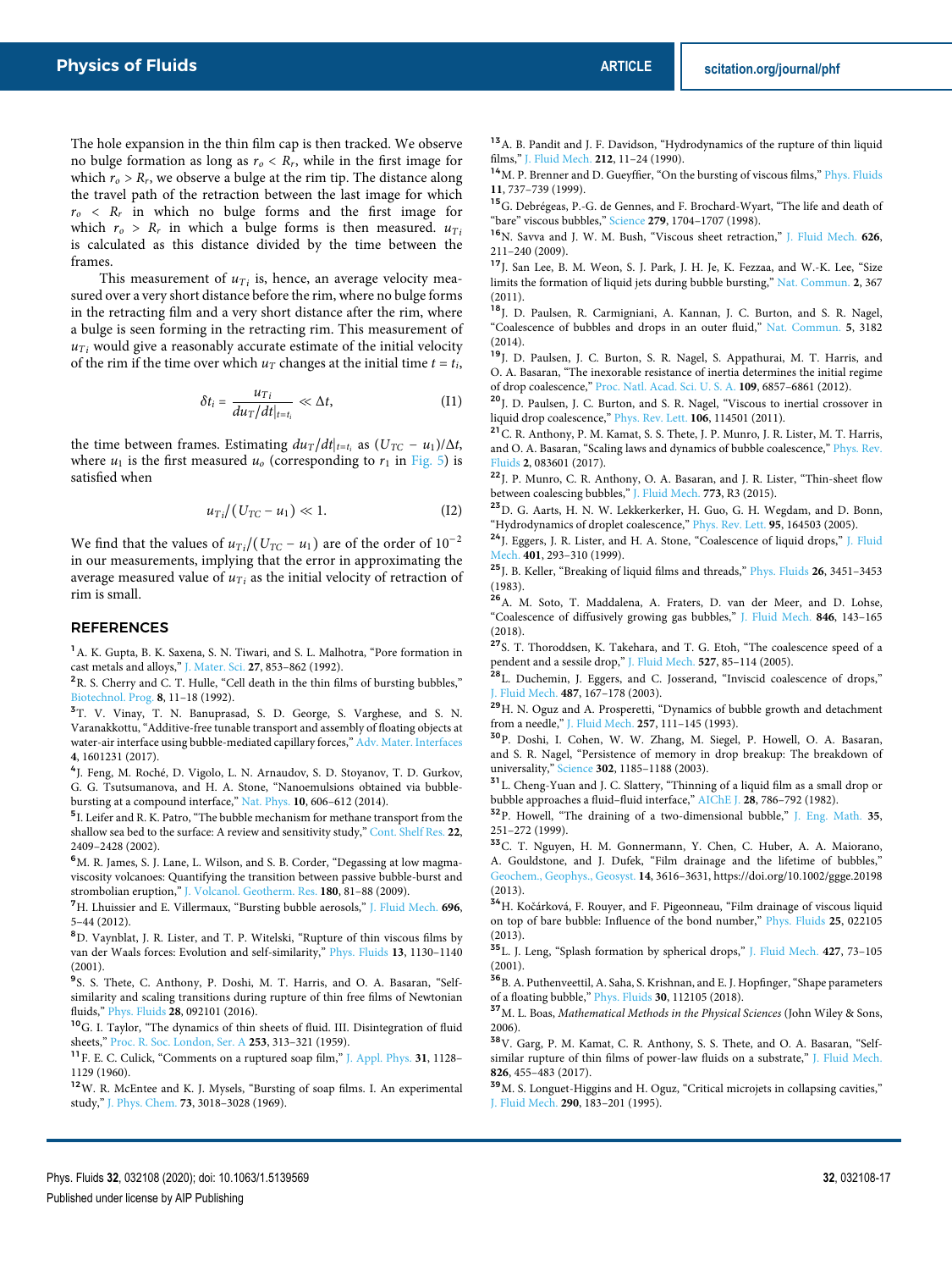The hole expansion in the thin film cap is then tracked. We observe no bulge formation as long as  $r_o < R_r$ , while in the first image for which  $r_o > R_r$ , we observe a bulge at the rim tip. The distance along the travel path of the retraction between the last image for which  $r_o \ll R_r$  in which no bulge forms and the first image for which  $r_o > R_r$  in which a bulge forms is then measured.  $u_{Ti}$ is calculated as this distance divided by the time between the frames.

This measurement of  $u_{Ti}$  is, hence, an average velocity measured over a very short distance before the rim, where no bulge forms in the retracting film and a very short distance after the rim, where a bulge is seen forming in the retracting rim. This measurement of  $u_{Ti}$  would give a reasonably accurate estimate of the initial velocity of the rim if the time over which  $u_T$  changes at the initial time  $t = t_i$ ,

$$
\delta t_i = \frac{u_{Ti}}{du_T/dt|_{t=t_i}} \ll \Delta t, \qquad (I1)
$$

the time between frames. Estimating  $du_T/dt|_{t=t_i}$  as  $(U_{TC} - u_1)/\Delta t$ , where  $u_1$  is the first measured  $u_0$  (corresponding to  $r_1$  in Fig. 5) is satisfied when

$$
u_{Ti}/(U_{TC} - u_1) \ll 1.
$$
 (I2)

We find that the values of  $u_{Ti}/(U_{TC} - u_1)$  are of the order of 10<sup>-2</sup> in our measurements, implying that the error in approximating the average measured value of  $u_{Ti}$  as the initial velocity of retraction of rim is small.

### **REFERENCES**

<sup>1</sup>A. K. Gupta, B. K. Saxena, S. N. Tiwari, and S. L. Malhotra, "Pore formation in cast metals and alloys," J. Mater. Sci. **27**, 853–862 (1992).

<sup>2</sup>R. S. Cherry and C. T. Hulle, "Cell death in the thin films of bursting bubbles," Biotechnol. Prog. **8**, 11–18 (1992).

<sup>3</sup>T. V. Vinay, T. N. Banuprasad, S. D. George, S. Varghese, and S. N. Varanakkottu, "Additive-free tunable transport and assembly of floating objects at water-air interface using bubble-mediated capillary forces," Adv. Mater. Interfaces **4**, 1601231 (2017).

4 J. Feng, M. Roché, D. Vigolo, L. N. Arnaudov, S. D. Stoyanov, T. D. Gurkov, G. G. Tsutsumanova, and H. A. Stone, "Nanoemulsions obtained via bubblebursting at a compound interface," Nat. Phys. **10**, 606–612 (2014).

<sup>5</sup>I. Leifer and R. K. Patro, "The bubble mechanism for methane transport from the shallow sea bed to the surface: A review and sensitivity study," Cont. Shelf Res. **22**, 2409–2428 (2002).

 $6$ M. R. James, S. J. Lane, L. Wilson, and S. B. Corder, "Degassing at low magmaviscosity volcanoes: Quantifying the transition between passive bubble-burst and strombolian eruption," J. Volcanol. Geotherm. Res. **180**, 81–88 (2009).

<sup>7</sup>H. Lhuissier and E. Villermaux, "Bursting bubble aerosols," J. Fluid Mech. **696**, 5–44 (2012).

<sup>8</sup>D. Vaynblat, J. R. Lister, and T. P. Witelski, "Rupture of thin viscous films by van der Waals forces: Evolution and self-similarity," Phys. Fluids **13**, 1130–1140 (2001).

<sup>9</sup>S. S. Thete, C. Anthony, P. Doshi, M. T. Harris, and O. A. Basaran, "Selfsimilarity and scaling transitions during rupture of thin free films of Newtonian fluids," Phys. Fluids **28**, 092101 (2016).

<sup>10</sup>G. I. Taylor, "The dynamics of thin sheets of fluid. III. Disintegration of fluid sheets," Proc. R. Soc. London, Ser. A **253**, 313–321 (1959).

<sup>11</sup>F. E. C. Culick, "Comments on a ruptured soap film," J. Appl. Phys. **31**, 1128– 1129 (1960).

<sup>12</sup>W. R. McEntee and K. J. Mysels, "Bursting of soap films. I. An experimental study," J. Phys. Chem. **73**, 3018–3028 (1969).

<sup>13</sup> A. B. Pandit and J. F. Davidson, "Hydrodynamics of the rupture of thin liquid films," J. Fluid Mech. **212**, 11–24 (1990).

<sup>14</sup>M. P. Brenner and D. Gueyffier, "On the bursting of viscous films," Phys. Fluids **11**, 737–739 (1999).

<sup>15</sup>G. Debrégeas, P.-G. de Gennes, and F. Brochard-Wyart, "The life and death of "bare" viscous bubbles," Science **279**, 1704–1707 (1998).

<sup>16</sup>N. Savva and J. W. M. Bush, "Viscous sheet retraction," J. Fluid Mech. **626**, 211–240 (2009).

<sup>17</sup>J. San Lee, B. M. Weon, S. J. Park, J. H. Je, K. Fezzaa, and W.-K. Lee, "Size limits the formation of liquid jets during bubble bursting," Nat. Commun. **2**, 367 (2011).

<sup>18</sup>J. D. Paulsen, R. Carmigniani, A. Kannan, J. C. Burton, and S. R. Nagel, "Coalescence of bubbles and drops in an outer fluid," Nat. Commun. **5**, 3182 (2014).

<sup>19</sup>J. D. Paulsen, J. C. Burton, S. R. Nagel, S. Appathurai, M. T. Harris, and O. A. Basaran, "The inexorable resistance of inertia determines the initial regime of drop coalescence," Proc. Natl. Acad. Sci. U. S. A. **109**, 6857–6861 (2012).

<sup>20</sup>J. D. Paulsen, J. C. Burton, and S. R. Nagel, "Viscous to inertial crossover in liquid drop coalescence," Phys. Rev. Lett. **106**, 114501 (2011).

<sup>21</sup>C. R. Anthony, P. M. Kamat, S. S. Thete, J. P. Munro, J. R. Lister, M. T. Harris, and O. A. Basaran, "Scaling laws and dynamics of bubble coalescence," Phys. Rev. Fluids **2**, 083601 (2017).

<sup>22</sup>J. P. Munro, C. R. Anthony, O. A. Basaran, and J. R. Lister, "Thin-sheet flow between coalescing bubbles," J. Fluid Mech. **773**, R3 (2015).

<sup>23</sup>D. G. Aarts, H. N. W. Lekkerkerker, H. Guo, G. H. Wegdam, and D. Bonn, "Hydrodynamics of droplet coalescence," Phys. Rev. Lett. **95**, 164503 (2005).

<sup>24</sup>J. Eggers, J. R. Lister, and H. A. Stone, "Coalescence of liquid drops," J. Fluid Mech. **401**, 293–310 (1999).

<sup>25</sup>J. B. Keller, "Breaking of liquid films and threads," Phys. Fluids **26**, 3451–3453 (1983).

<sup>26</sup>A. M. Soto, T. Maddalena, A. Fraters, D. van der Meer, and D. Lohse, "Coalescence of diffusively growing gas bubbles," J. Fluid Mech. **846**, 143–165 (2018).

<sup>27</sup>S. T. Thoroddsen, K. Takehara, and T. G. Etoh, "The coalescence speed of a pendent and a sessile drop," J. Fluid Mech. **527**, 85–114 (2005).

<sup>28</sup>L. Duchemin, J. Eggers, and C. Josserand, "Inviscid coalescence of drops," J. Fluid Mech. **487**, 167–178 (2003).

<sup>29</sup>H. N. Oguz and A. Prosperetti, "Dynamics of bubble growth and detachment from a needle," J. Fluid Mech. **257**, 111–145 (1993).

<sup>30</sup>P. Doshi, I. Cohen, W. W. Zhang, M. Siegel, P. Howell, O. A. Basaran, and S. R. Nagel, "Persistence of memory in drop breakup: The breakdown of universality," Science **302**, 1185–1188 (2003).

<sup>31</sup>L. Cheng-Yuan and J. C. Slattery, "Thinning of a liquid film as a small drop or bubble approaches a fluid–fluid interface," AIChE J. **28**, 786–792 (1982).

<sup>32</sup>P. Howell, "The draining of a two-dimensional bubble," J. Eng. Math. **35**, 251–272 (1999).

<sup>33</sup>C. T. Nguyen, H. M. Gonnermann, Y. Chen, C. Huber, A. A. Maiorano, A. Gouldstone, and J. Dufek, "Film drainage and the lifetime of bubbles," Geochem., Geophys., Geosyst. **14**, 3616–3631, https://doi.org/10.1002/ggge.20198 (2013).

<sup>34</sup>H. Kočárková, F. Rouyer, and F. Pigeonneau, "Film drainage of viscous liquid on top of bare bubble: Influence of the bond number," Phys. Fluids **25**, 022105 (2013).

<sup>35</sup>L. J. Leng, "Splash formation by spherical drops," J. Fluid Mech. **427**, 73–105 (2001).

<sup>36</sup> B. A. Puthenveettil, A. Saha, S. Krishnan, and E. J. Hopfinger, "Shape parameters of a floating bubble," Phys. Fluids **30**, 112105 (2018).

 $^{37}{\rm M}$ . L. Boas, Mathematical Methods in the Physical Sciences (John Wiley & Sons, 2006).

<sup>38</sup>V. Garg, P. M. Kamat, C. R. Anthony, S. S. Thete, and O. A. Basaran, "Selfsimilar rupture of thin films of power-law fluids on a substrate," J. Fluid Mech. **826**, 455–483 (2017).

<sup>39</sup>M. S. Longuet-Higgins and H. Oguz, "Critical microjets in collapsing cavities," J. Fluid Mech. **290**, 183–201 (1995).